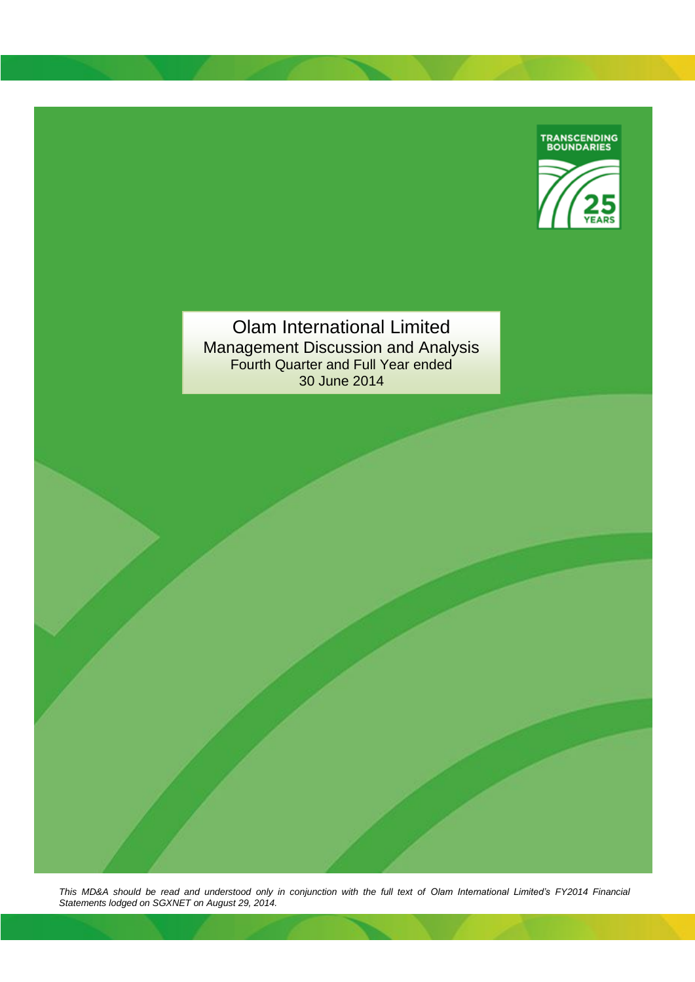

Olam International Limited Management Discussion and Analysis Fourth Quarter and Full Year ended 30 June 2014

*This MD&A should be read and understood only in conjunction with the full text of Olam International Limited's FY2014 Financial Statements lodged on SGXNET on August 29, 2014.*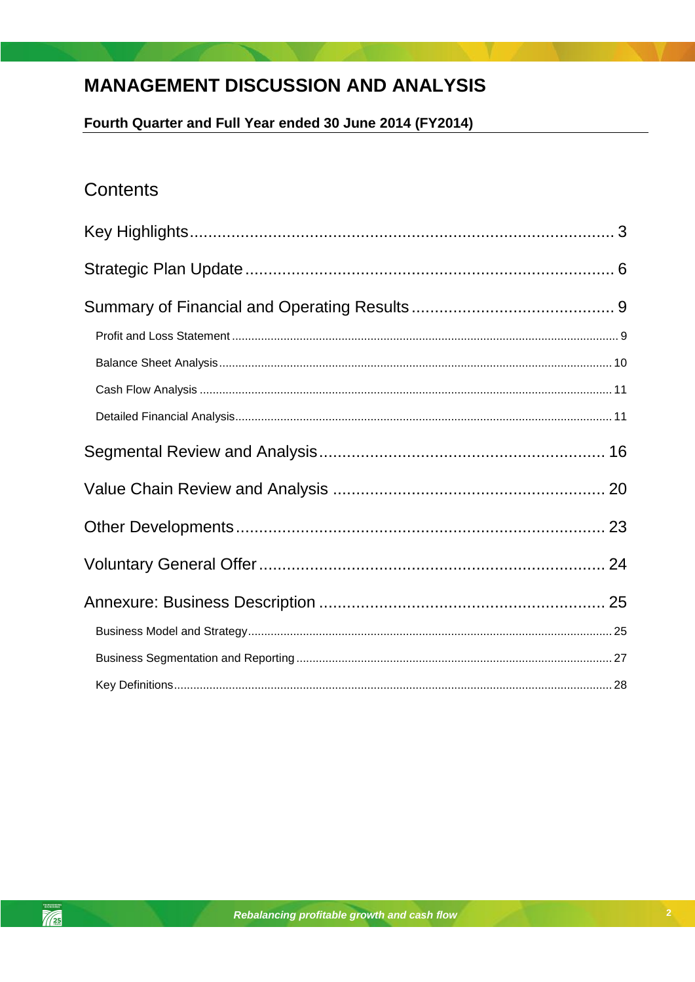# **MANAGEMENT DISCUSSION AND ANALYSIS**

Fourth Quarter and Full Year ended 30 June 2014 (FY2014)

## **Contents**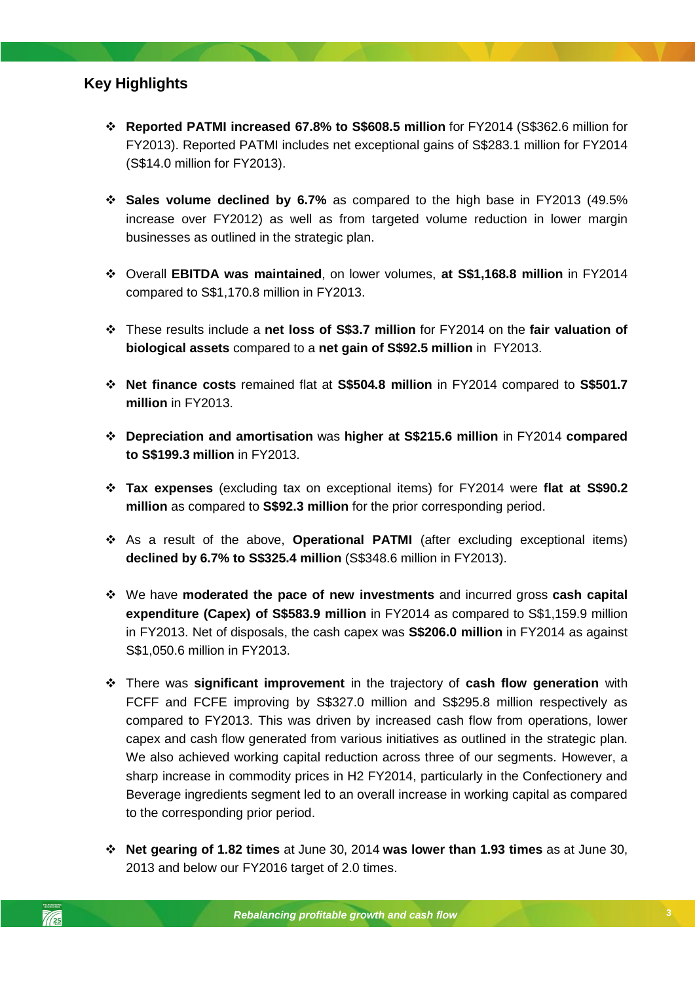### <span id="page-2-0"></span>**Key Highlights**

- **Reported PATMI increased 67.8% to S\$608.5 million** for FY2014 (S\$362.6 million for FY2013). Reported PATMI includes net exceptional gains of S\$283.1 million for FY2014 (S\$14.0 million for FY2013).
- **Sales volume declined by 6.7%** as compared to the high base in FY2013 (49.5% increase over FY2012) as well as from targeted volume reduction in lower margin businesses as outlined in the strategic plan.
- Overall **EBITDA was maintained**, on lower volumes, **at S\$1,168.8 million** in FY2014 compared to S\$1,170.8 million in FY2013.
- These results include a **net loss of S\$3.7 million** for FY2014 on the **fair valuation of biological assets** compared to a **net gain of S\$92.5 million** in FY2013.
- **Net finance costs** remained flat at **S\$504.8 million** in FY2014 compared to **S\$501.7 million** in FY2013.
- **Depreciation and amortisation** was **higher at S\$215.6 million** in FY2014 **compared to S\$199.3 million** in FY2013.
- **Tax expenses** (excluding tax on exceptional items) for FY2014 were **flat at S\$90.2 million** as compared to **S\$92.3 million** for the prior corresponding period.
- **\*** As a result of the above, **Operational PATMI** (after excluding exceptional items) **declined by 6.7% to S\$325.4 million** (S\$348.6 million in FY2013).
- We have **moderated the pace of new investments** and incurred gross **cash capital expenditure (Capex) of S\$583.9 million** in FY2014 as compared to S\$1,159.9 million in FY2013. Net of disposals, the cash capex was **S\$206.0 million** in FY2014 as against S\$1,050.6 million in FY2013.
- There was **significant improvement** in the trajectory of **cash flow generation** with FCFF and FCFE improving by S\$327.0 million and S\$295.8 million respectively as compared to FY2013. This was driven by increased cash flow from operations, lower capex and cash flow generated from various initiatives as outlined in the strategic plan. We also achieved working capital reduction across three of our segments. However, a sharp increase in commodity prices in H2 FY2014, particularly in the Confectionery and Beverage ingredients segment led to an overall increase in working capital as compared to the corresponding prior period.
- **Net gearing of 1.82 times** at June 30, 2014 **was lower than 1.93 times** as at June 30, 2013 and below our FY2016 target of 2.0 times.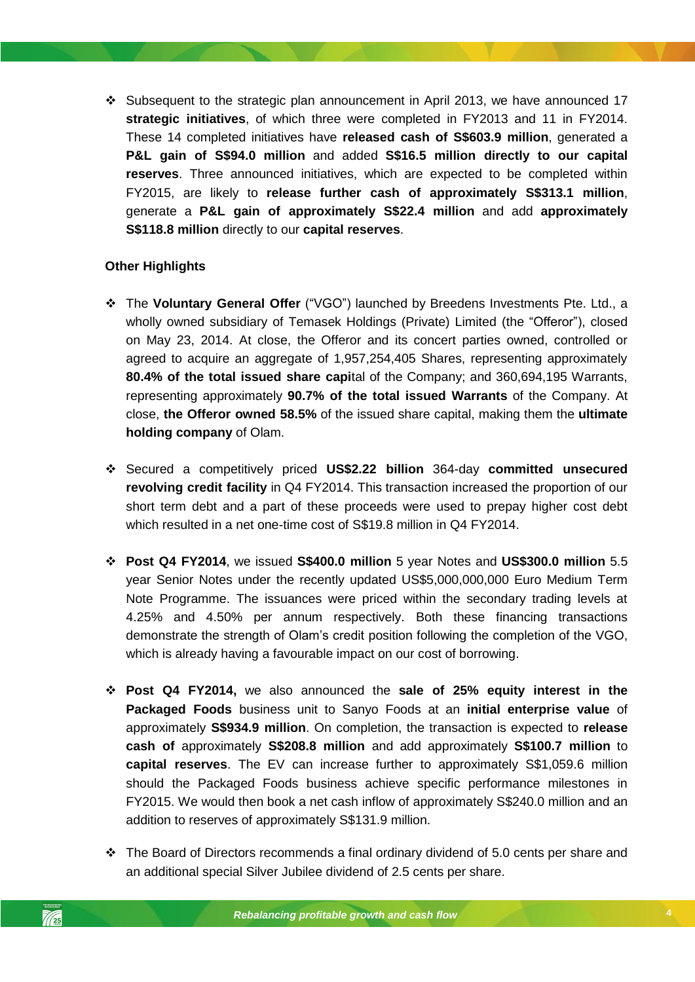$\cdot$  Subsequent to the strategic plan announcement in April 2013, we have announced 17 **strategic initiatives**, of which three were completed in FY2013 and 11 in FY2014. These 14 completed initiatives have **released cash of S\$603.9 million**, generated a **P&L gain of S\$94.0 million** and added **S\$16.5 million directly to our capital reserves**. Three announced initiatives, which are expected to be completed within FY2015, are likely to **release further cash of approximately S\$313.1 million**, generate a **P&L gain of approximately S\$22.4 million** and add **approximately S\$118.8 million** directly to our **capital reserves**.

### **Other Highlights**

- The **Voluntary General Offer** ("VGO") launched by Breedens Investments Pte. Ltd., a wholly owned subsidiary of Temasek Holdings (Private) Limited (the "Offeror"), closed on May 23, 2014. At close, the Offeror and its concert parties owned, controlled or agreed to acquire an aggregate of 1,957,254,405 Shares, representing approximately **80.4% of the total issued share capi**tal of the Company; and 360,694,195 Warrants, representing approximately **90.7% of the total issued Warrants** of the Company. At close, **the Offeror owned 58.5%** of the issued share capital, making them the **ultimate holding company** of Olam.
- Secured a competitively priced **US\$2.22 billion** 364-day **committed unsecured revolving credit facility** in Q4 FY2014. This transaction increased the proportion of our short term debt and a part of these proceeds were used to prepay higher cost debt which resulted in a net one-time cost of S\$19.8 million in Q4 FY2014.
- **Post Q4 FY2014**, we issued **S\$400.0 million** 5 year Notes and **US\$300.0 million** 5.5 year Senior Notes under the recently updated US\$5,000,000,000 Euro Medium Term Note Programme. The issuances were priced within the secondary trading levels at 4.25% and 4.50% per annum respectively. Both these financing transactions demonstrate the strength of Olam's credit position following the completion of the VGO, which is already having a favourable impact on our cost of borrowing.
- **Post Q4 FY2014,** we also announced the **sale of 25% equity interest in the Packaged Foods** business unit to Sanyo Foods at an **initial enterprise value** of approximately **S\$934.9 million**. On completion, the transaction is expected to **release cash of** approximately **S\$208.8 million** and add approximately **S\$100.7 million** to **capital reserves**. The EV can increase further to approximately S\$1,059.6 million should the Packaged Foods business achieve specific performance milestones in FY2015. We would then book a net cash inflow of approximately S\$240.0 million and an addition to reserves of approximately S\$131.9 million.
- $\div$  The Board of Directors recommends a final ordinary dividend of 5.0 cents per share and an additional special Silver Jubilee dividend of 2.5 cents per share.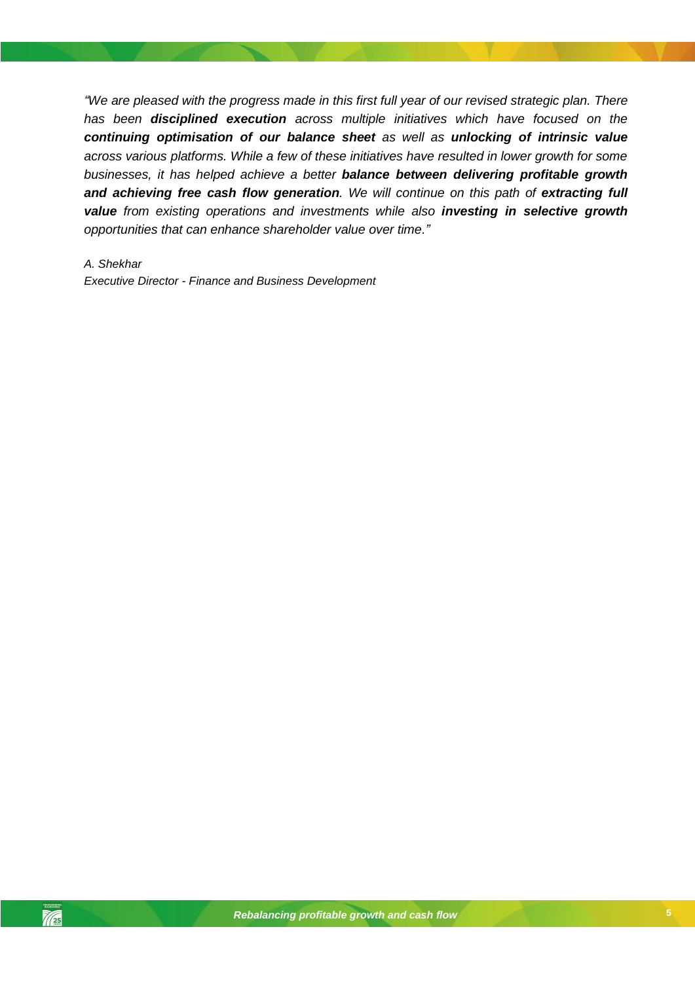*"We are pleased with the progress made in this first full year of our revised strategic plan. There has been disciplined execution across multiple initiatives which have focused on the continuing optimisation of our balance sheet as well as unlocking of intrinsic value across various platforms. While a few of these initiatives have resulted in lower growth for some businesses, it has helped achieve a better balance between delivering profitable growth and achieving free cash flow generation. We will continue on this path of extracting full value from existing operations and investments while also investing in selective growth opportunities that can enhance shareholder value over time."* 

### *A. Shekhar*

*Executive Director - Finance and Business Development*

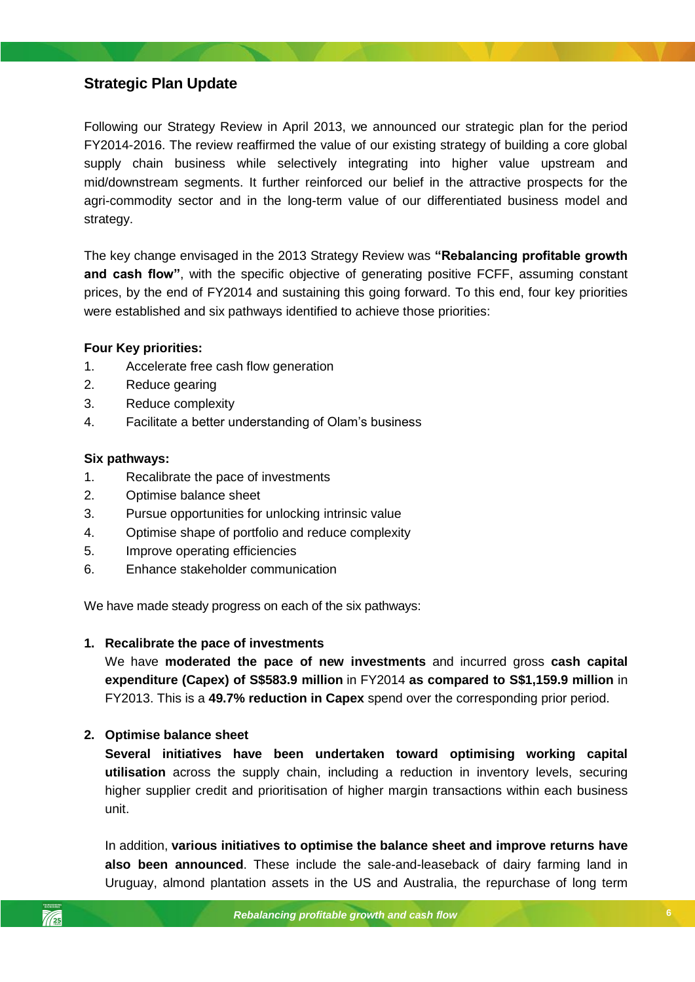### <span id="page-5-0"></span>**Strategic Plan Update**

Following our Strategy Review in April 2013, we announced our strategic plan for the period FY2014-2016. The review reaffirmed the value of our existing strategy of building a core global supply chain business while selectively integrating into higher value upstream and mid/downstream segments. It further reinforced our belief in the attractive prospects for the agri-commodity sector and in the long-term value of our differentiated business model and strategy.

The key change envisaged in the 2013 Strategy Review was **"Rebalancing profitable growth and cash flow"**, with the specific objective of generating positive FCFF, assuming constant prices, by the end of FY2014 and sustaining this going forward. To this end, four key priorities were established and six pathways identified to achieve those priorities:

### **Four Key priorities:**

- 1. Accelerate free cash flow generation
- 2. Reduce gearing
- 3. Reduce complexity
- 4. Facilitate a better understanding of Olam's business

### **Six pathways:**

- 1. Recalibrate the pace of investments
- 2. Optimise balance sheet
- 3. Pursue opportunities for unlocking intrinsic value
- 4. Optimise shape of portfolio and reduce complexity
- *Rebalancing profitable growth and cash flow* 5. Improve operating efficiencies
- 6. Enhance stakeholder communication

We have made steady progress on each of the six pathways:

### **1. Recalibrate the pace of investments**

We have **moderated the pace of new investments** and incurred gross **cash capital expenditure (Capex) of S\$583.9 million** in FY2014 **as compared to S\$1,159.9 million** in FY2013. This is a **49.7% reduction in Capex** spend over the corresponding prior period.

### **2. Optimise balance sheet**

**Several initiatives have been undertaken toward optimising working capital utilisation** across the supply chain, including a reduction in inventory levels, securing higher supplier credit and prioritisation of higher margin transactions within each business unit.

In addition, **various initiatives to optimise the balance sheet and improve returns have also been announced**. These include the sale-and-leaseback of dairy farming land in Uruguay, almond plantation assets in the US and Australia, the repurchase of long term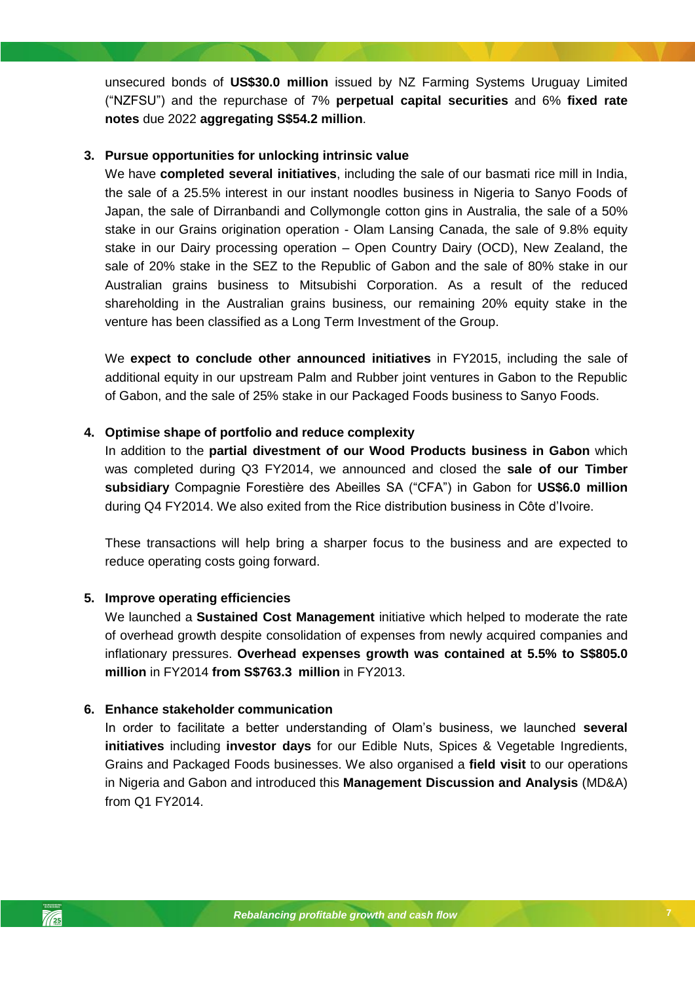unsecured bonds of **US\$30.0 million** issued by NZ Farming Systems Uruguay Limited ("NZFSU") and the repurchase of 7% **perpetual capital securities** and 6% **fixed rate notes** due 2022 **aggregating S\$54.2 million**.

### **3. Pursue opportunities for unlocking intrinsic value**

We have **completed several initiatives**, including the sale of our basmati rice mill in India, the sale of a 25.5% interest in our instant noodles business in Nigeria to Sanyo Foods of Japan, the sale of Dirranbandi and Collymongle cotton gins in Australia, the sale of a 50% stake in our Grains origination operation - Olam Lansing Canada, the sale of 9.8% equity stake in our Dairy processing operation – Open Country Dairy (OCD), New Zealand, the sale of 20% stake in the SEZ to the Republic of Gabon and the sale of 80% stake in our Australian grains business to Mitsubishi Corporation. As a result of the reduced shareholding in the Australian grains business, our remaining 20% equity stake in the venture has been classified as a Long Term Investment of the Group.

We **expect to conclude other announced initiatives** in FY2015, including the sale of additional equity in our upstream Palm and Rubber joint ventures in Gabon to the Republic of Gabon, and the sale of 25% stake in our Packaged Foods business to Sanyo Foods.

### **4. Optimise shape of portfolio and reduce complexity**

In addition to the **partial divestment of our Wood Products business in Gabon** which was completed during Q3 FY2014, we announced and closed the **sale of our Timber subsidiary** Compagnie Forestière des Abeilles SA ("CFA") in Gabon for **US\$6.0 million** during Q4 FY2014. We also exited from the Rice distribution business in Côte d'Ivoire.

*Rebalancing profitable growth and cash flow* These transactions will help bring a sharper focus to the business and are expected to reduce operating costs going forward.

### **5. Improve operating efficiencies**

We launched a **Sustained Cost Management** initiative which helped to moderate the rate of overhead growth despite consolidation of expenses from newly acquired companies and inflationary pressures. **Overhead expenses growth was contained at 5.5% to S\$805.0 million** in FY2014 **from S\$763.3 million** in FY2013.

### **6. Enhance stakeholder communication**

In order to facilitate a better understanding of Olam's business, we launched **several initiatives** including **investor days** for our Edible Nuts, Spices & Vegetable Ingredients, Grains and Packaged Foods businesses. We also organised a **field visit** to our operations in Nigeria and Gabon and introduced this **Management Discussion and Analysis** (MD&A) from Q1 FY2014.

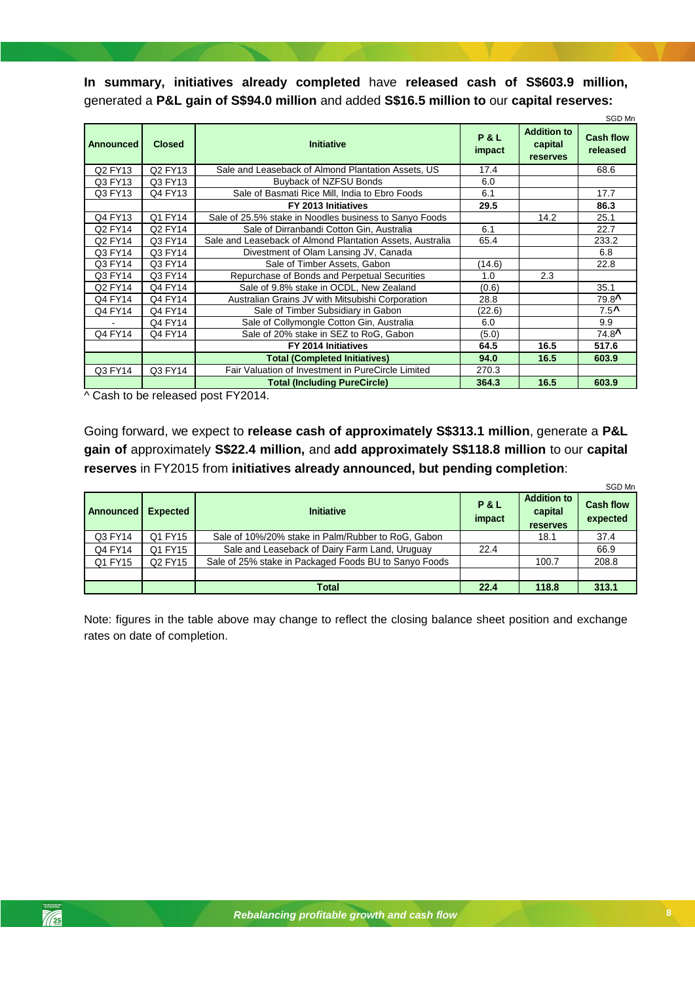**In summary, initiatives already completed** have **released cash of S\$603.9 million,**  generated a **P&L gain of S\$94.0 million** and added **S\$16.5 million to** our **capital reserves:**

| Announced | <b>Closed</b> | <b>Initiative</b>                                         | <b>P&amp;L</b><br>impact | <b>Addition to</b><br>capital<br>reserves | SGD Mn<br><b>Cash flow</b><br>released |
|-----------|---------------|-----------------------------------------------------------|--------------------------|-------------------------------------------|----------------------------------------|
| Q2 FY13   | Q2 FY13       | Sale and Leaseback of Almond Plantation Assets, US        | 17.4                     |                                           | 68.6                                   |
| Q3 FY13   | Q3 FY13       | Buyback of NZFSU Bonds                                    | 6.0                      |                                           |                                        |
| Q3 FY13   | Q4 FY13       | Sale of Basmati Rice Mill, India to Ebro Foods            | 6.1                      |                                           | 17.7                                   |
|           |               | FY 2013 Initiatives                                       | 29.5                     |                                           | 86.3                                   |
| Q4 FY13   | Q1 FY14       | Sale of 25.5% stake in Noodles business to Sanyo Foods    |                          | 14.2                                      | 25.1                                   |
| Q2 FY14   | Q2 FY14       | Sale of Dirranbandi Cotton Gin, Australia                 | 6.1                      |                                           | 22.7                                   |
| Q2 FY14   | Q3 FY14       | Sale and Leaseback of Almond Plantation Assets, Australia | 65.4                     |                                           | 233.2                                  |
| Q3 FY14   | Q3 FY14       | Divestment of Olam Lansing JV, Canada                     |                          |                                           | 6.8                                    |
| Q3 FY14   | Q3 FY14       | Sale of Timber Assets, Gabon                              | (14.6)                   |                                           | 22.8                                   |
| Q3 FY14   | Q3 FY14       | Repurchase of Bonds and Perpetual Securities              | 1.0                      | 2.3                                       |                                        |
| Q2 FY14   | Q4 FY14       | Sale of 9.8% stake in OCDL, New Zealand                   | (0.6)                    |                                           | 35.1                                   |
| Q4 FY14   | Q4 FY14       | Australian Grains JV with Mitsubishi Corporation          | 28.8                     |                                           | $79.8^{\text{A}}$                      |
| Q4 FY14   | Q4 FY14       | Sale of Timber Subsidiary in Gabon                        | (22.6)                   |                                           | $7.5^$                                 |
|           | Q4 FY14       | Sale of Collymongle Cotton Gin, Australia                 | 6.0                      |                                           | 9.9                                    |
| Q4 FY14   | Q4 FY14       | Sale of 20% stake in SEZ to RoG, Gabon                    | (5.0)                    |                                           | $74.8^{\text{A}}$                      |
|           |               | FY 2014 Initiatives                                       | 64.5                     | 16.5                                      | 517.6                                  |
|           |               | <b>Total (Completed Initiatives)</b>                      | 94.0                     | 16.5                                      | 603.9                                  |
| Q3 FY14   | Q3 FY14       | Fair Valuation of Investment in PureCircle Limited        | 270.3                    |                                           |                                        |
|           |               | <b>Total (Including PureCircle)</b>                       | 364.3                    | 16.5                                      | 603.9                                  |

^ Cash to be released post FY2014.

Going forward, we expect to **release cash of approximately S\$313.1 million**, generate a **P&L gain of** approximately **S\$22.4 million,** and **add approximately S\$118.8 million** to our **capital reserves** in FY2015 from **initiatives already announced, but pending completion**:

|           |                 |                                                       |                          |                                                  | SGD Mn                       |
|-----------|-----------------|-------------------------------------------------------|--------------------------|--------------------------------------------------|------------------------------|
| Announced | <b>Expected</b> | <b>Initiative</b>                                     | <b>P&amp;L</b><br>impact | <b>Addition to</b><br>capital<br><b>reserves</b> | <b>Cash flow</b><br>expected |
| Q3 FY14   | Q1 FY15         | Sale of 10%/20% stake in Palm/Rubber to RoG, Gabon    |                          | 18.1                                             | 37.4                         |
| Q4 FY14   | Q1 FY15         | Sale and Leaseback of Dairy Farm Land, Uruguay        | 22.4                     |                                                  | 66.9                         |
| Q1 FY15   | Q2 FY15         | Sale of 25% stake in Packaged Foods BU to Sanyo Foods |                          | 100.7                                            | 208.8                        |
|           |                 |                                                       |                          |                                                  |                              |
|           |                 | Total                                                 | 22.4                     | 118.8                                            | 313.1                        |

Note: figures in the table above may change to reflect the closing balance sheet position and exchange rates on date of completion.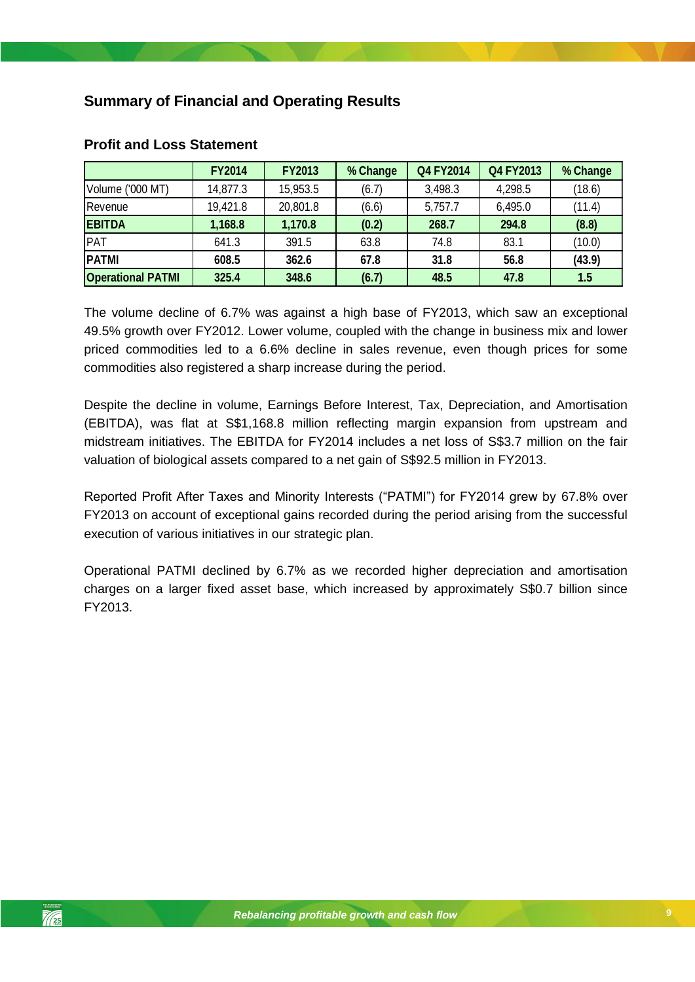## <span id="page-8-0"></span>**Summary of Financial and Operating Results**

|                          | <b>FY2014</b> | <b>FY2013</b> | % Change | <b>Q4 FY2014</b> | Q4 FY2013 | % Change |
|--------------------------|---------------|---------------|----------|------------------|-----------|----------|
| Volume ('000 MT)         | 14,877.3      | 15,953.5      | (6.7)    | 3,498.3          | 4,298.5   | (18.6)   |
| Revenue                  | 19,421.8      | 20,801.8      | (6.6)    | 5,757.7          | 6,495.0   | (11.4)   |
| <b>EBITDA</b>            | 1,168.8       | 1,170.8       | (0.2)    | 268.7            | 294.8     | (8.8)    |
| PAT                      | 641.3         | 391.5         | 63.8     | 74.8             | 83.1      | (10.0)   |
| <b>PATMI</b>             | 608.5         | 362.6         | 67.8     | 31.8             | 56.8      | (43.9)   |
| <b>Operational PATMI</b> | 325.4         | 348.6         | (6.7)    | 48.5             | 47.8      | 1.5      |

### <span id="page-8-1"></span>**Profit and Loss Statement**

The volume decline of 6.7% was against a high base of FY2013, which saw an exceptional 49.5% growth over FY2012. Lower volume, coupled with the change in business mix and lower priced commodities led to a 6.6% decline in sales revenue, even though prices for some commodities also registered a sharp increase during the period.

Despite the decline in volume, Earnings Before Interest, Tax, Depreciation, and Amortisation (EBITDA), was flat at S\$1,168.8 million reflecting margin expansion from upstream and midstream initiatives. The EBITDA for FY2014 includes a net loss of S\$3.7 million on the fair valuation of biological assets compared to a net gain of S\$92.5 million in FY2013.

*Rebalancing profitable growth and cash flow* Reported Profit After Taxes and Minority Interests ("PATMI") for FY2014 grew by 67.8% over FY2013 on account of exceptional gains recorded during the period arising from the successful execution of various initiatives in our strategic plan.

Operational PATMI declined by 6.7% as we recorded higher depreciation and amortisation charges on a larger fixed asset base, which increased by approximately S\$0.7 billion since FY2013.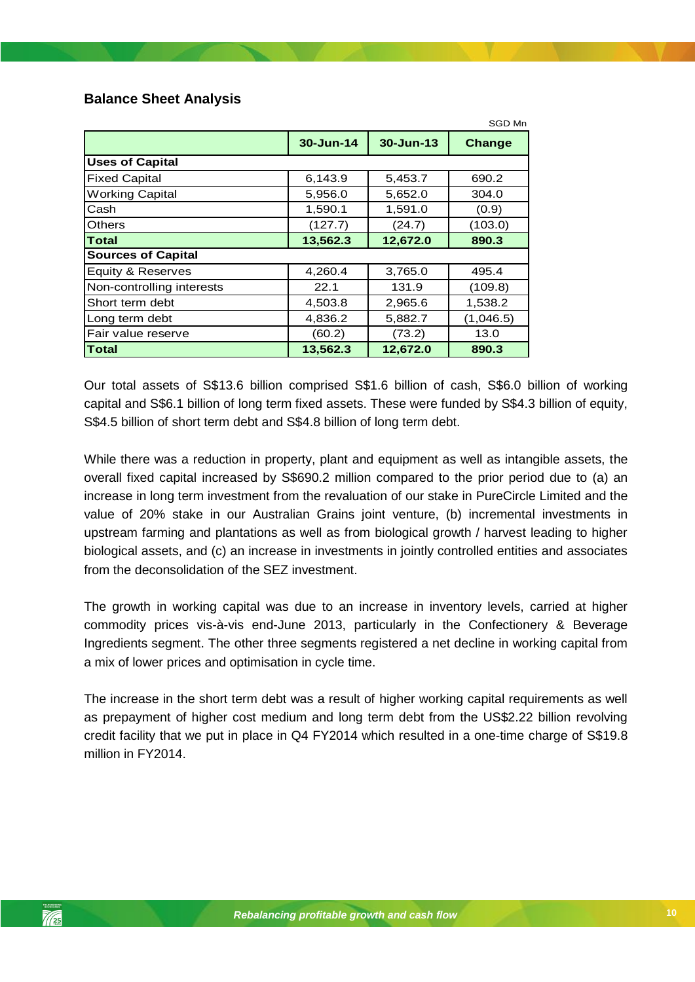### <span id="page-9-0"></span>**Balance Sheet Analysis**

|                           |           |           | SGD Mn    |
|---------------------------|-----------|-----------|-----------|
|                           | 30-Jun-14 | 30-Jun-13 | Change    |
| <b>Uses of Capital</b>    |           |           |           |
| <b>Fixed Capital</b>      | 6,143.9   | 5,453.7   | 690.2     |
| <b>Working Capital</b>    | 5,956.0   | 5,652.0   | 304.0     |
| Cash                      | 1,590.1   | 1,591.0   | (0.9)     |
| Others                    | (127.7)   | (24.7)    | (103.0)   |
| Total                     | 13,562.3  | 12,672.0  | 890.3     |
| <b>Sources of Capital</b> |           |           |           |
| Equity & Reserves         | 4,260.4   | 3,765.0   | 495.4     |
| Non-controlling interests | 22.1      | 131.9     | (109.8)   |
| Short term debt           | 4,503.8   | 2,965.6   | 1,538.2   |
| Long term debt            | 4,836.2   | 5,882.7   | (1,046.5) |
| Fair value reserve        | (60.2)    | (73.2)    | 13.0      |
| Total                     | 13,562.3  | 12,672.0  | 890.3     |

Our total assets of S\$13.6 billion comprised S\$1.6 billion of cash, S\$6.0 billion of working capital and S\$6.1 billion of long term fixed assets. These were funded by S\$4.3 billion of equity, S\$4.5 billion of short term debt and S\$4.8 billion of long term debt.

*Rebalancing profitable growth and cash flow* biological assets, and (c) an increase in investments in jointly controlled entities and associates While there was a reduction in property, plant and equipment as well as intangible assets, the overall fixed capital increased by S\$690.2 million compared to the prior period due to (a) an increase in long term investment from the revaluation of our stake in PureCircle Limited and the value of 20% stake in our Australian Grains joint venture, (b) incremental investments in upstream farming and plantations as well as from biological growth / harvest leading to higher from the deconsolidation of the SEZ investment.

The growth in working capital was due to an increase in inventory levels, carried at higher commodity prices vis-à-vis end-June 2013, particularly in the Confectionery & Beverage Ingredients segment. The other three segments registered a net decline in working capital from a mix of lower prices and optimisation in cycle time.

The increase in the short term debt was a result of higher working capital requirements as well as prepayment of higher cost medium and long term debt from the US\$2.22 billion revolving credit facility that we put in place in Q4 FY2014 which resulted in a one-time charge of S\$19.8 million in FY2014.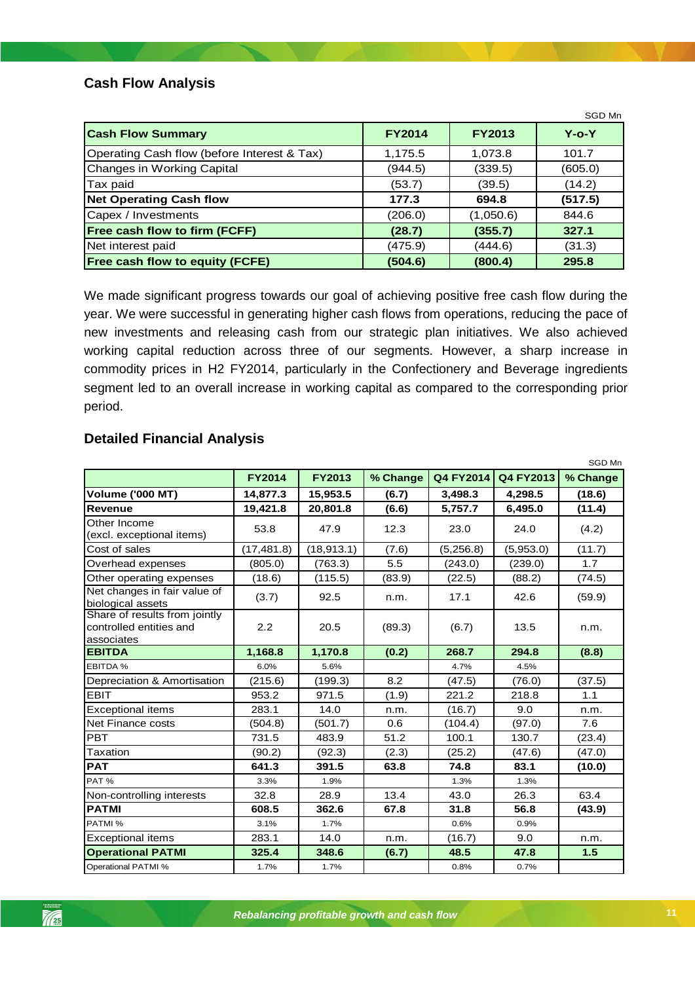### <span id="page-10-0"></span>**Cash Flow Analysis**

|                                             |               |               | SGD Mn      |
|---------------------------------------------|---------------|---------------|-------------|
| <b>Cash Flow Summary</b>                    | <b>FY2014</b> | <b>FY2013</b> | $Y$ -o- $Y$ |
| Operating Cash flow (before Interest & Tax) | 1,175.5       | 1,073.8       | 101.7       |
| <b>Changes in Working Capital</b>           | (944.5)       | (339.5)       | (605.0)     |
| Tax paid                                    | (53.7)        | (39.5)        | (14.2)      |
| <b>Net Operating Cash flow</b>              | 177.3         | 694.8         | (517.5)     |
| Capex / Investments                         | (206.0)       | (1,050.6)     | 844.6       |
| Free cash flow to firm (FCFF)               | (28.7)        | (355.7)       | 327.1       |
| Net interest paid                           | (475.9)       | (444.6)       | (31.3)      |
| <b>Free cash flow to equity (FCFE)</b>      | (504.6)       | (800.4)       | 295.8       |

We made significant progress towards our goal of achieving positive free cash flow during the year. We were successful in generating higher cash flows from operations, reducing the pace of new investments and releasing cash from our strategic plan initiatives. We also achieved working capital reduction across three of our segments. However, a sharp increase in commodity prices in H2 FY2014, particularly in the Confectionery and Beverage ingredients segment led to an overall increase in working capital as compared to the corresponding prior period.

<span id="page-10-1"></span>

|  | <b>Detailed Financial Analysis</b> |  |
|--|------------------------------------|--|
|--|------------------------------------|--|

|                                                                        |               |               |          |           |           | <b>SGD MN</b> |
|------------------------------------------------------------------------|---------------|---------------|----------|-----------|-----------|---------------|
|                                                                        | <b>FY2014</b> | <b>FY2013</b> | % Change | Q4 FY2014 | Q4 FY2013 | % Change      |
| <b>Volume ('000 MT)</b>                                                | 14,877.3      | 15,953.5      | (6.7)    | 3,498.3   | 4,298.5   | (18.6)        |
| <b>Revenue</b>                                                         | 19,421.8      | 20,801.8      | (6.6)    | 5,757.7   | 6,495.0   | (11.4)        |
| Other Income<br>(excl. exceptional items)                              | 53.8          | 47.9          | 12.3     | 23.0      | 24.0      | (4.2)         |
| Cost of sales                                                          | (17, 481.8)   | (18, 913.1)   | (7.6)    | (5,256.8) | (5,953.0) | (11.7)        |
| Overhead expenses                                                      | (805.0)       | (763.3)       | 5.5      | (243.0)   | (239.0)   | 1.7           |
| Other operating expenses                                               | (18.6)        | (115.5)       | (83.9)   | (22.5)    | (88.2)    | (74.5)        |
| Net changes in fair value of<br>biological assets                      | (3.7)         | 92.5          | n.m.     | 17.1      | 42.6      | (59.9)        |
| Share of results from jointly<br>controlled entities and<br>associates | 2.2           | 20.5          | (89.3)   | (6.7)     | 13.5      | n.m.          |
| <b>EBITDA</b>                                                          | 1,168.8       | 1,170.8       | (0.2)    | 268.7     | 294.8     | (8.8)         |
| EBITDA %                                                               | 6.0%          | 5.6%          |          | 4.7%      | 4.5%      |               |
| Depreciation & Amortisation                                            | (215.6)       | (199.3)       | 8.2      | (47.5)    | (76.0)    | (37.5)        |
| <b>EBIT</b>                                                            | 953.2         | 971.5         | (1.9)    | 221.2     | 218.8     | 1.1           |
| <b>Exceptional items</b>                                               | 283.1         | 14.0          | n.m.     | (16.7)    | 9.0       | n.m.          |
| Net Finance costs                                                      | (504.8)       | (501.7)       | 0.6      | (104.4)   | (97.0)    | 7.6           |
| PBT                                                                    | 731.5         | 483.9         | 51.2     | 100.1     | 130.7     | (23.4)        |
| Taxation                                                               | (90.2)        | (92.3)        | (2.3)    | (25.2)    | (47.6)    | (47.0)        |
| <b>PAT</b>                                                             | 641.3         | 391.5         | 63.8     | 74.8      | 83.1      | (10.0)        |
| PAT%                                                                   | 3.3%          | 1.9%          |          | 1.3%      | 1.3%      |               |
| Non-controlling interests                                              | 32.8          | 28.9          | 13.4     | 43.0      | 26.3      | 63.4          |
| <b>PATMI</b>                                                           | 608.5         | 362.6         | 67.8     | 31.8      | 56.8      | (43.9)        |
| PATMI %                                                                | 3.1%          | 1.7%          |          | 0.6%      | 0.9%      |               |
| <b>Exceptional items</b>                                               | 283.1         | 14.0          | n.m.     | (16.7)    | 9.0       | n.m.          |
| <b>Operational PATMI</b>                                               | 325.4         | 348.6         | (6.7)    | 48.5      | 47.8      | 1.5           |
| Operational PATMI %                                                    | 1.7%          | 1.7%          |          | 0.8%      | 0.7%      |               |

 $SORM$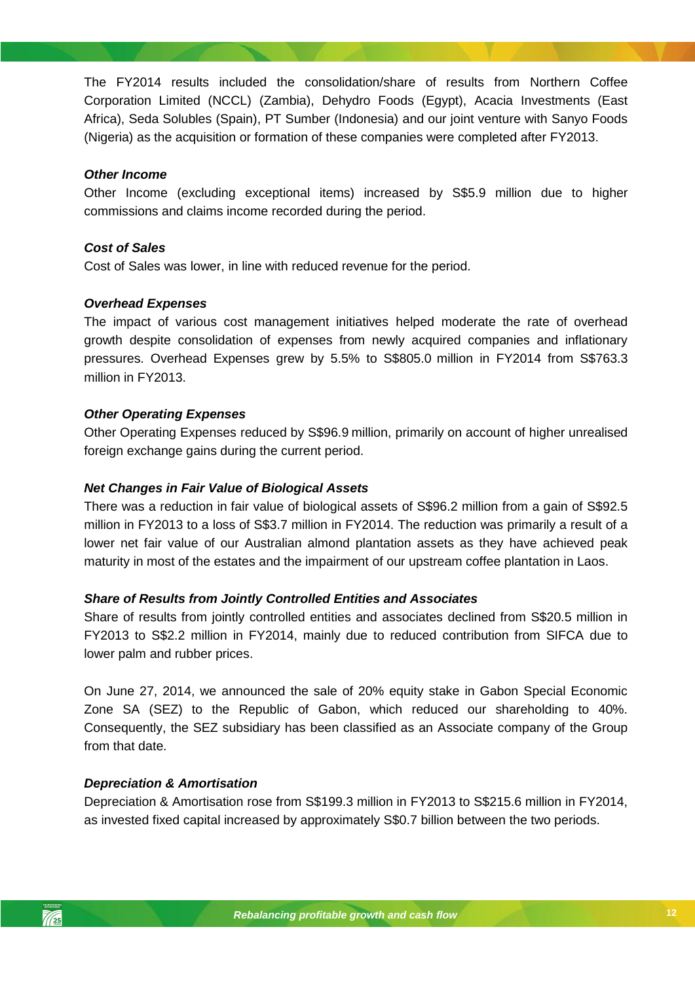The FY2014 results included the consolidation/share of results from Northern Coffee Corporation Limited (NCCL) (Zambia), Dehydro Foods (Egypt), Acacia Investments (East Africa), Seda Solubles (Spain), PT Sumber (Indonesia) and our joint venture with Sanyo Foods (Nigeria) as the acquisition or formation of these companies were completed after FY2013.

### *Other Income*

Other Income (excluding exceptional items) increased by S\$5.9 million due to higher commissions and claims income recorded during the period.

### *Cost of Sales*

Cost of Sales was lower, in line with reduced revenue for the period.

### *Overhead Expenses*

The impact of various cost management initiatives helped moderate the rate of overhead growth despite consolidation of expenses from newly acquired companies and inflationary pressures. Overhead Expenses grew by 5.5% to S\$805.0 million in FY2014 from S\$763.3 million in FY2013.

### *Other Operating Expenses*

Other Operating Expenses reduced by S\$96.9 million, primarily on account of higher unrealised foreign exchange gains during the current period.

### *Net Changes in Fair Value of Biological Assets*

lower net fair value of our Australian almond plantation assets as they have achieved peak There was a reduction in fair value of biological assets of S\$96.2 million from a gain of S\$92.5 million in FY2013 to a loss of S\$3.7 million in FY2014. The reduction was primarily a result of a maturity in most of the estates and the impairment of our upstream coffee plantation in Laos.

#### *Share of Results from Jointly Controlled Entities and Associates*

Share of results from jointly controlled entities and associates declined from S\$20.5 million in FY2013 to S\$2.2 million in FY2014, mainly due to reduced contribution from SIFCA due to lower palm and rubber prices.

On June 27, 2014, we announced the sale of 20% equity stake in Gabon Special Economic Zone SA (SEZ) to the Republic of Gabon, which reduced our shareholding to 40%. Consequently, the SEZ subsidiary has been classified as an Associate company of the Group from that date.

### *Depreciation & Amortisation*

Depreciation & Amortisation rose from S\$199.3 million in FY2013 to S\$215.6 million in FY2014, as invested fixed capital increased by approximately S\$0.7 billion between the two periods.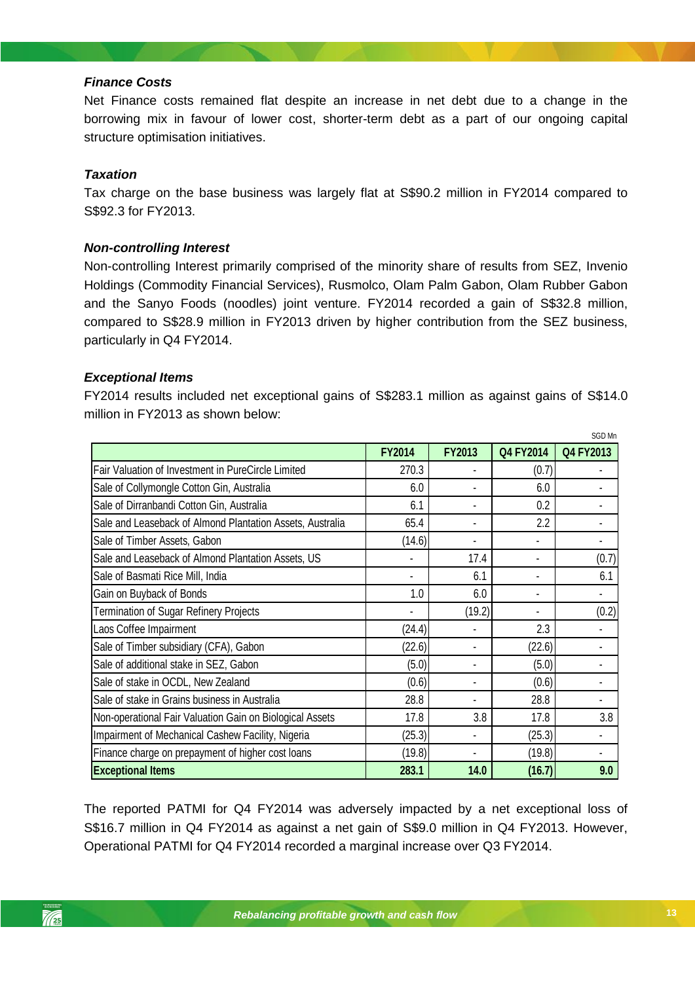### *Finance Costs*

Net Finance costs remained flat despite an increase in net debt due to a change in the borrowing mix in favour of lower cost, shorter-term debt as a part of our ongoing capital structure optimisation initiatives.

### *Taxation*

Tax charge on the base business was largely flat at S\$90.2 million in FY2014 compared to S\$92.3 for FY2013.

### *Non-controlling Interest*

Non-controlling Interest primarily comprised of the minority share of results from SEZ, Invenio Holdings (Commodity Financial Services), Rusmolco, Olam Palm Gabon, Olam Rubber Gabon and the Sanyo Foods (noodles) joint venture. FY2014 recorded a gain of S\$32.8 million, compared to S\$28.9 million in FY2013 driven by higher contribution from the SEZ business, particularly in Q4 FY2014.

### *Exceptional Items*

FY2014 results included net exceptional gains of S\$283.1 million as against gains of S\$14.0 million in FY2013 as shown below:

|                                                           | <b>FY2014</b> | <b>FY2013</b>            | Q4 FY2014      | SGD Mn<br>Q4 FY2013 |
|-----------------------------------------------------------|---------------|--------------------------|----------------|---------------------|
| Fair Valuation of Investment in PureCircle Limited        | 270.3         |                          | (0.7)          |                     |
| Sale of Collymongle Cotton Gin, Australia                 | 6.0           |                          | 6.0            |                     |
| Sale of Dirranbandi Cotton Gin, Australia                 | 6.1           |                          | 0.2            |                     |
| Sale and Leaseback of Almond Plantation Assets, Australia | 65.4          | $\overline{\phantom{0}}$ | 2.2            |                     |
| Sale of Timber Assets, Gabon                              | (14.6)        | $\overline{\phantom{0}}$ |                | $\blacksquare$      |
| Sale and Leaseback of Almond Plantation Assets, US        |               | 17.4                     |                | (0.7)               |
| Sale of Basmati Rice Mill, India                          |               | 6.1                      |                | 6.1                 |
| Gain on Buyback of Bonds                                  | 1.0           | 6.0                      | $\blacksquare$ |                     |
| Termination of Sugar Refinery Projects                    |               | (19.2)                   |                | (0.2)               |
| Laos Coffee Impairment                                    | (24.4)        | $\blacksquare$           | 2.3            |                     |
| Sale of Timber subsidiary (CFA), Gabon                    | (22.6)        | $\blacksquare$           | (22.6)         |                     |
| Sale of additional stake in SEZ, Gabon                    | (5.0)         | -                        | (5.0)          |                     |
| Sale of stake in OCDL, New Zealand                        | (0.6)         | $\overline{\phantom{0}}$ | (0.6)          |                     |
| Sale of stake in Grains business in Australia             | 28.8          |                          | 28.8           |                     |
| Non-operational Fair Valuation Gain on Biological Assets  | 17.8          | 3.8                      | 17.8           | 3.8                 |
| Impairment of Mechanical Cashew Facility, Nigeria         | (25.3)        | $\blacksquare$           | (25.3)         |                     |
| Finance charge on prepayment of higher cost loans         | (19.8)        | ٠                        | (19.8)         |                     |
| <b>Exceptional Items</b>                                  | 283.1         | 14.0                     | (16.7)         | 9.0                 |

The reported PATMI for Q4 FY2014 was adversely impacted by a net exceptional loss of S\$16.7 million in Q4 FY2014 as against a net gain of S\$9.0 million in Q4 FY2013. However, Operational PATMI for Q4 FY2014 recorded a marginal increase over Q3 FY2014.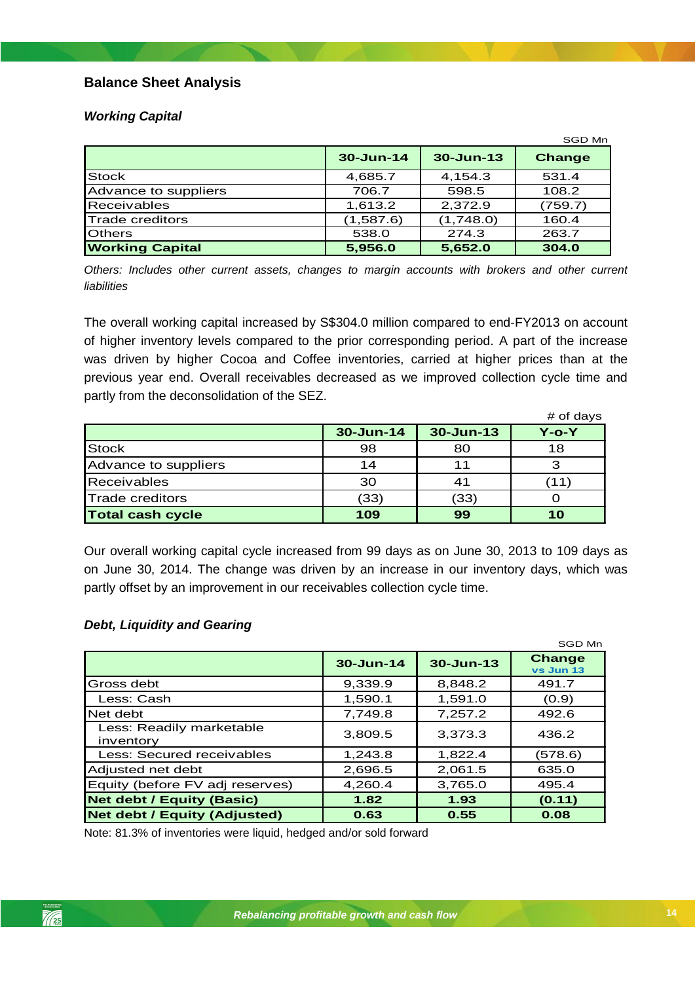### **Balance Sheet Analysis**

### *Working Capital*

|                        |               |               | SGD Mn        |
|------------------------|---------------|---------------|---------------|
|                        | $30 - Jun-14$ | $30 - Jun-13$ | <b>Change</b> |
| <b>Stock</b>           | 4,685.7       | 4,154.3       | 531.4         |
| Advance to suppliers   | 706.7         | 598.5         | 108.2         |
| <b>Receivables</b>     | 1,613.2       | 2,372.9       | (759.7)       |
| <b>Trade creditors</b> | (1,587.6)     | (1,748.0)     | 160.4         |
| <b>Others</b>          | 538.0         | 274.3         | 263.7         |
| <b>Working Capital</b> | 5,956.0       | 5,652.0       | 304.0         |

*Others: Includes other current assets, changes to margin accounts with brokers and other current liabilities*

The overall working capital increased by S\$304.0 million compared to end-FY2013 on account of higher inventory levels compared to the prior corresponding period. A part of the increase was driven by higher Cocoa and Coffee inventories, carried at higher prices than at the previous year end. Overall receivables decreased as we improved collection cycle time and partly from the deconsolidation of the SEZ.

|                         |           |               | # of days   |
|-------------------------|-----------|---------------|-------------|
|                         | 30-Jun-14 | $30 - Jun-13$ | $Y$ -o- $Y$ |
| Stock                   | 98        | 80            | 18          |
| Advance to suppliers    | 14        | 11            |             |
| <b>Receivables</b>      | 30        | 41            |             |
| <b>Trade creditors</b>  | (33)      | (33)          |             |
| <b>Total cash cycle</b> | 109       | 99            | 10          |

*Rebalancing profitable growth and cash flow* Our overall working capital cycle increased from 99 days as on June 30, 2013 to 109 days as on June 30, 2014. The change was driven by an increase in our inventory days, which was partly offset by an improvement in our receivables collection cycle time.

### *Debt, Liquidity and Gearing*

|                                       |               |               | SGD Mn                     |
|---------------------------------------|---------------|---------------|----------------------------|
|                                       | $30 - Jun-14$ | $30 - Jun-13$ | <b>Change</b><br>vs Jun 13 |
| Gross debt                            | 9.339.9       | 8.848.2       | 491.7                      |
| Less: Cash                            | 1,590.1       | 1,591.0       | (0.9)                      |
| Net debt                              | 7,749.8       | 7,257.2       | 492.6                      |
| Less: Readily marketable<br>inventory | 3,809.5       | 3.373.3       | 436.2                      |
| Less: Secured receivables             | 1,243.8       | 1,822.4       | (578.6)                    |
| Adjusted net debt                     | 2,696.5       | 2,061.5       | 635.0                      |
| Equity (before FV adj reserves)       | 4,260.4       | 3,765.0       | 495.4                      |
| <b>Net debt / Equity (Basic)</b>      | 1.82          | 1.93          | (0.11)                     |
| <b>Net debt / Equity (Adjusted)</b>   | 0.63          | 0.55          | 0.08                       |

Note: 81.3% of inventories were liquid, hedged and/or sold forward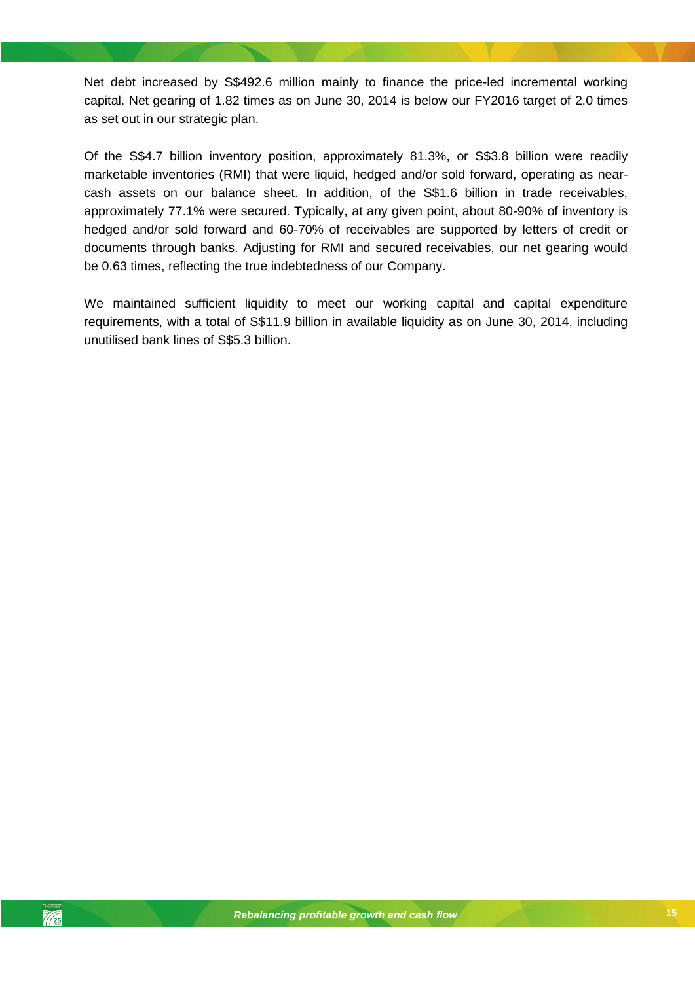Net debt increased by S\$492.6 million mainly to finance the price-led incremental working capital. Net gearing of 1.82 times as on June 30, 2014 is below our FY2016 target of 2.0 times as set out in our strategic plan.

Of the S\$4.7 billion inventory position, approximately 81.3%, or S\$3.8 billion were readily marketable inventories (RMI) that were liquid, hedged and/or sold forward, operating as nearcash assets on our balance sheet. In addition, of the S\$1.6 billion in trade receivables, approximately 77.1% were secured. Typically, at any given point, about 80-90% of inventory is hedged and/or sold forward and 60-70% of receivables are supported by letters of credit or documents through banks. Adjusting for RMI and secured receivables, our net gearing would be 0.63 times, reflecting the true indebtedness of our Company.

We maintained sufficient liquidity to meet our working capital and capital expenditure requirements, with a total of S\$11.9 billion in available liquidity as on June 30, 2014, including unutilised bank lines of S\$5.3 billion.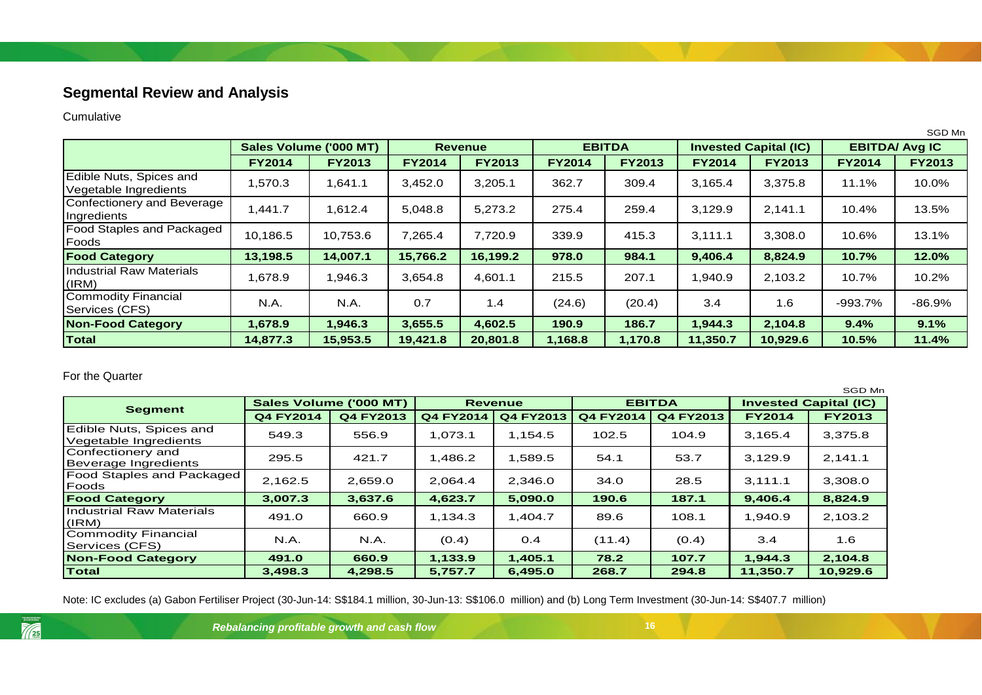## **Segmental Review and Analysis**

Cumulative

|                                                  |                        |               |                |               |               |               |                              |               |                       | SGD Mn        |
|--------------------------------------------------|------------------------|---------------|----------------|---------------|---------------|---------------|------------------------------|---------------|-----------------------|---------------|
|                                                  | Sales Volume ('000 MT) |               | <b>Revenue</b> |               | <b>EBITDA</b> |               | <b>Invested Capital (IC)</b> |               | <b>EBITDA/ Avg IC</b> |               |
|                                                  | <b>FY2014</b>          | <b>FY2013</b> | <b>FY2014</b>  | <b>FY2013</b> | <b>FY2014</b> | <b>FY2013</b> | <b>FY2014</b>                | <b>FY2013</b> | <b>FY2014</b>         | <b>FY2013</b> |
| Edible Nuts, Spices and<br>Vegetable Ingredients | 570.3,                 | 1,641.1       | 3,452.0        | 3,205.1       | 362.7         | 309.4         | 3,165.4                      | 3,375.8       | 11.1%                 | 10.0%         |
| Confectionery and Beverage<br>Ingredients        | 1,441.7                | 1,612.4       | 5,048.8        | 5,273.2       | 275.4         | 259.4         | 3,129.9                      | 2,141.1       | 10.4%                 | 13.5%         |
| Food Staples and Packaged<br>Foods               | 10,186.5               | 10,753.6      | 7,265.4        | 7,720.9       | 339.9         | 415.3         | 3,111.1                      | 3,308.0       | 10.6%                 | 13.1%         |
| <b>Food Category</b>                             | 13,198.5               | 14,007.1      | 15,766.2       | 16,199.2      | 978.0         | 984.1         | 9,406.4                      | 8,824.9       | 10.7%                 | 12.0%         |
| IIndustrial Raw Materials<br>(IRM)               | 1,678.9                | .946.3        | 3,654.8        | 4,601.1       | 215.5         | 207.1         | .940.9                       | 2,103.2       | 10.7%                 | 10.2%         |
| Commodity Financial<br>Services (CFS)            | N.A.                   | N.A.          | 0.7            | 1.4           | (24.6)        | (20.4)        | 3.4                          | 1.6           | $-993.7%$             | $-86.9%$      |
| <b>Non-Food Category</b>                         | 1,678.9                | 1,946.3       | 3,655.5        | 4,602.5       | 190.9         | 186.7         | 1,944.3                      | 2,104.8       | 9.4%                  | 9.1%          |
| Total                                            | 14,877.3               | 15,953.5      | 19,421.8       | 20,801.8      | 1,168.8       | 1,170.8       | 11,350.7                     | 10,929.6      | 10.5%                 | 11.4%         |

<span id="page-15-0"></span>For the Quarter

|                                                  |                        |           |                  |           |                  |           |                              | SGD Mn        |
|--------------------------------------------------|------------------------|-----------|------------------|-----------|------------------|-----------|------------------------------|---------------|
| <b>Segment</b>                                   | Sales Volume ('000 MT) |           | <b>Revenue</b>   |           | <b>EBITDA</b>    |           | <b>Invested Capital (IC)</b> |               |
|                                                  | <b>Q4 FY2014</b>       | Q4 FY2013 | <b>Q4 FY2014</b> | Q4 FY2013 | <b>Q4 FY2014</b> | Q4 FY2013 | <b>FY2014</b>                | <b>FY2013</b> |
| Edible Nuts, Spices and<br>Vegetable Ingredients | 549.3                  | 556.9     | 1,073.1          | 1,154.5   | 102.5            | 104.9     | 3,165.4                      | 3,375.8       |
| Confectionery and<br>Beverage Ingredients        | 295.5                  | 421.7     | 1,486.2          | 1,589.5   | 54.1             | 53.7      | 3,129.9                      | 2,141.1       |
| <b>Food Staples and Packaged</b><br><b>Foods</b> | 2,162.5                | 2,659.0   | 2,064.4          | 2,346.0   | 34.0             | 28.5      | 3,111.1                      | 3,308.0       |
| <b>Food Category</b>                             | 3,007.3                | 3,637.6   | 4,623.7          | 5,090.0   | 190.6            | 187.1     | 9,406.4                      | 8,824.9       |
| <b>Industrial Raw Materials</b><br>(IRM)         | 491.0                  | 660.9     | 1,134.3          | 1,404.7   | 89.6             | 108.1     | 1,940.9                      | 2,103.2       |
| Commodity Financial<br>Services (CFS)            | N.A.                   | N.A.      | (0.4)            | 0.4       | (11.4)           | (0.4)     | 3.4                          | 1.6           |
| <b>Non-Food Category</b>                         | 491.0                  | 660.9     | 1,133.9          | 1,405.1   | 78.2             | 107.7     | 1,944.3                      | 2,104.8       |
| <b>Total</b>                                     | 3,498.3                | 4,298.5   | 5.757.7          | 6,495.0   | 268.7            | 294.8     | 11,350.7                     | 10,929.6      |

Note: IC excludes (a) Gabon Fertiliser Project (30-Jun-14: S\$184.1 million, 30-Jun-13: S\$106.0 million) and (b) Long Term Investment (30-Jun-14: S\$407.7 million)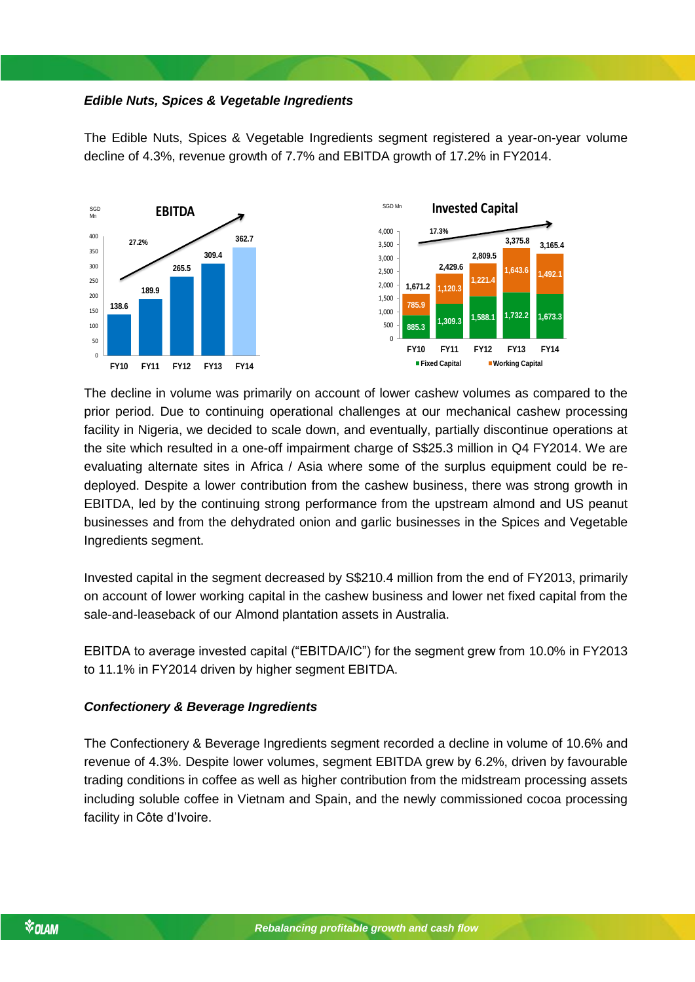### *Edible Nuts, Spices & Vegetable Ingredients*

The Edible Nuts, Spices & Vegetable Ingredients segment registered a year-on-year volume decline of 4.3%, revenue growth of 7.7% and EBITDA growth of 17.2% in FY2014.



The decline in volume was primarily on account of lower cashew volumes as compared to the prior period. Due to continuing operational challenges at our mechanical cashew processing facility in Nigeria, we decided to scale down, and eventually, partially discontinue operations at the site which resulted in a one-off impairment charge of S\$25.3 million in Q4 FY2014. We are evaluating alternate sites in Africa / Asia where some of the surplus equipment could be redeployed. Despite a lower contribution from the cashew business, there was strong growth in EBITDA, led by the continuing strong performance from the upstream almond and US peanut businesses and from the dehydrated onion and garlic businesses in the Spices and Vegetable Ingredients segment.

Invested capital in the segment decreased by S\$210.4 million from the end of FY2013, primarily on account of lower working capital in the cashew business and lower net fixed capital from the sale-and-leaseback of our Almond plantation assets in Australia.

EBITDA to average invested capital ("EBITDA/IC") for the segment grew from 10.0% in FY2013 to 11.1% in FY2014 driven by higher segment EBITDA.

#### *Confectionery & Beverage Ingredients*

The Confectionery & Beverage Ingredients segment recorded a decline in volume of 10.6% and revenue of 4.3%. Despite lower volumes, segment EBITDA grew by 6.2%, driven by favourable trading conditions in coffee as well as higher contribution from the midstream processing assets including soluble coffee in Vietnam and Spain, and the newly commissioned cocoa processing facility in Côte d'Ivoire.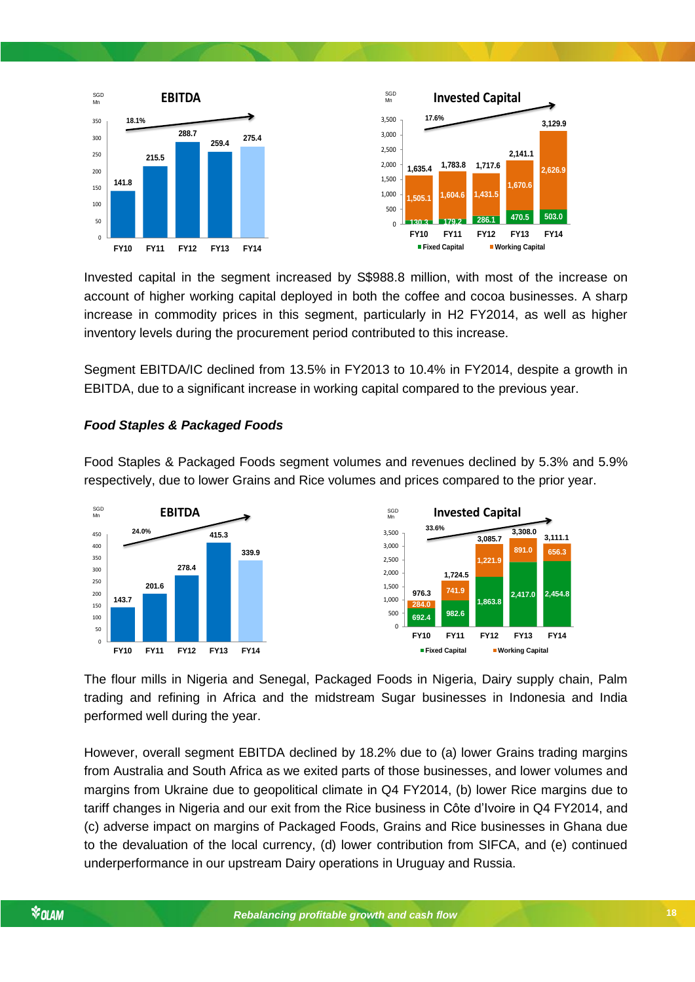

Invested capital in the segment increased by S\$988.8 million, with most of the increase on account of higher working capital deployed in both the coffee and cocoa businesses. A sharp increase in commodity prices in this segment, particularly in H2 FY2014, as well as higher inventory levels during the procurement period contributed to this increase.

Segment EBITDA/IC declined from 13.5% in FY2013 to 10.4% in FY2014, despite a growth in EBITDA, due to a significant increase in working capital compared to the previous year.

#### *Food Staples & Packaged Foods*

Food Staples & Packaged Foods segment volumes and revenues declined by 5.3% and 5.9% respectively, due to lower Grains and Rice volumes and prices compared to the prior year.



The flour mills in Nigeria and Senegal, Packaged Foods in Nigeria, Dairy supply chain, Palm trading and refining in Africa and the midstream Sugar businesses in Indonesia and India performed well during the year.

However, overall segment EBITDA declined by 18.2% due to (a) lower Grains trading margins from Australia and South Africa as we exited parts of those businesses, and lower volumes and margins from Ukraine due to geopolitical climate in Q4 FY2014, (b) lower Rice margins due to tariff changes in Nigeria and our exit from the Rice business in Côte d'Ivoire in Q4 FY2014, and (c) adverse impact on margins of Packaged Foods, Grains and Rice businesses in Ghana due to the devaluation of the local currency, (d) lower contribution from SIFCA, and (e) continued underperformance in our upstream Dairy operations in Uruguay and Russia.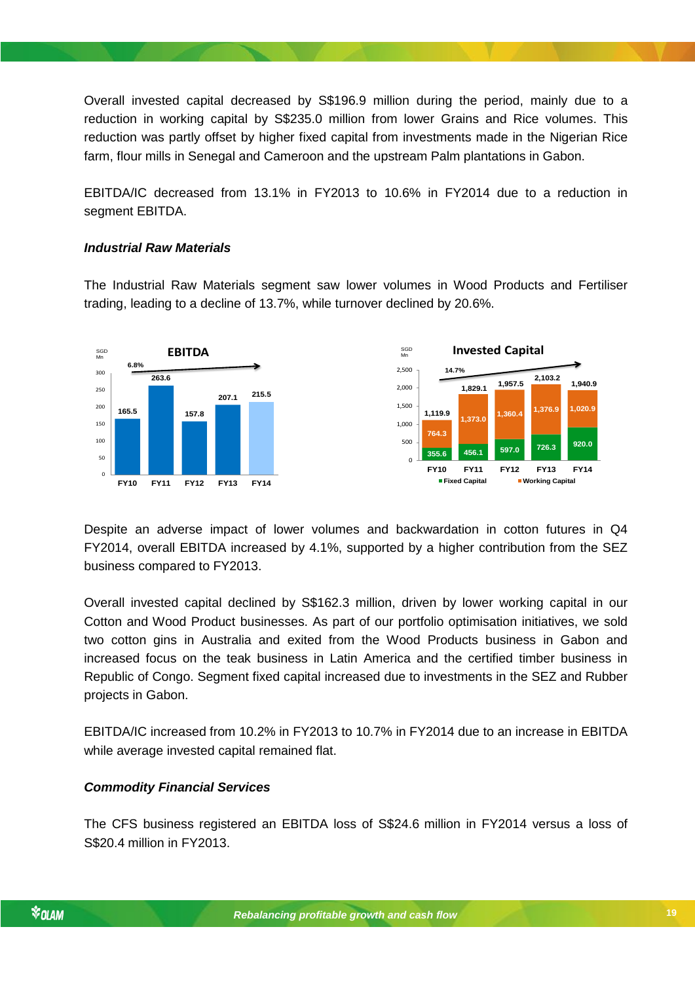Overall invested capital decreased by S\$196.9 million during the period, mainly due to a reduction in working capital by S\$235.0 million from lower Grains and Rice volumes. This reduction was partly offset by higher fixed capital from investments made in the Nigerian Rice farm, flour mills in Senegal and Cameroon and the upstream Palm plantations in Gabon.

EBITDA/IC decreased from 13.1% in FY2013 to 10.6% in FY2014 due to a reduction in segment EBITDA.

### *Industrial Raw Materials*

The Industrial Raw Materials segment saw lower volumes in Wood Products and Fertiliser trading, leading to a decline of 13.7%, while turnover declined by 20.6%.



Despite an adverse impact of lower volumes and backwardation in cotton futures in Q4 FY2014, overall EBITDA increased by 4.1%, supported by a higher contribution from the SEZ business compared to FY2013.

Cotton and Wood Product businesses. As part of our portfolio optimisation initiatives, we sold Overall invested capital declined by S\$162.3 million, driven by lower working capital in our two cotton gins in Australia and exited from the Wood Products business in Gabon and increased focus on the teak business in Latin America and the certified timber business in Republic of Congo. Segment fixed capital increased due to investments in the SEZ and Rubber projects in Gabon.

EBITDA/IC increased from 10.2% in FY2013 to 10.7% in FY2014 due to an increase in EBITDA while average invested capital remained flat.

#### *Commodity Financial Services*

The CFS business registered an EBITDA loss of S\$24.6 million in FY2014 versus a loss of S\$20.4 million in FY2013.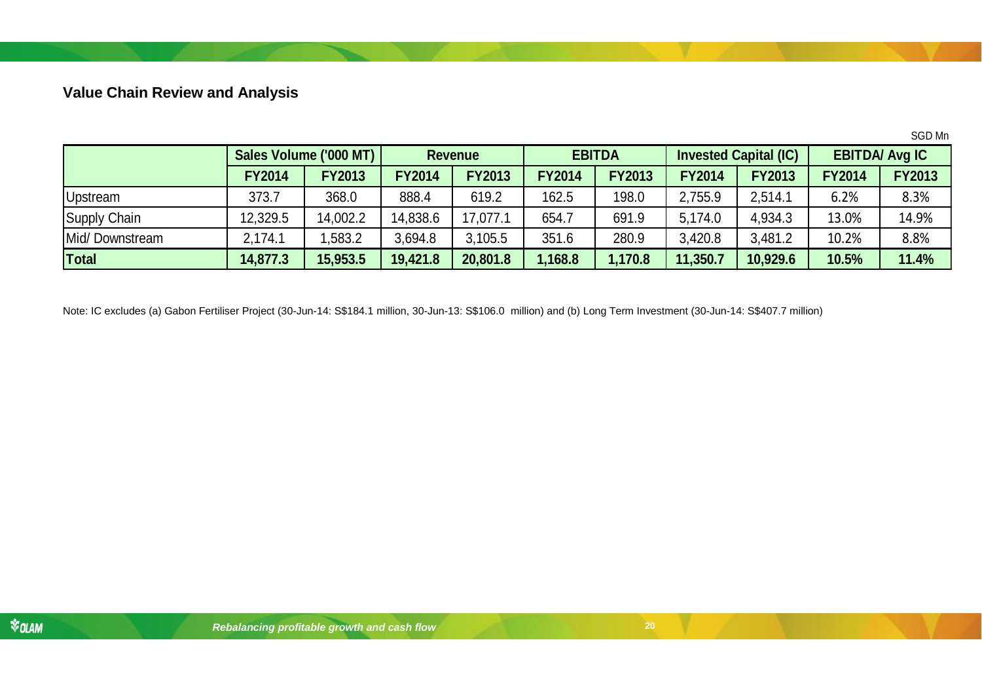## **Value Chain Review and Analysis**

|                |                        |               |                |               |               |               |                              |               |                       | SGD Mn        |
|----------------|------------------------|---------------|----------------|---------------|---------------|---------------|------------------------------|---------------|-----------------------|---------------|
|                | Sales Volume ('000 MT) |               | <b>Revenue</b> |               | <b>EBITDA</b> |               | <b>Invested Capital (IC)</b> |               | <b>EBITDA/ Avg IC</b> |               |
|                | <b>FY2014</b>          | <b>FY2013</b> | <b>FY2014</b>  | <b>FY2013</b> | <b>FY2014</b> | <b>FY2013</b> | <b>FY2014</b>                | <b>FY2013</b> | <b>FY2014</b>         | <b>FY2013</b> |
| Upstream       | 373.7                  | 368.0         | 888.4          | 619.2         | 162.5         | 198.0         | 2,755.9                      | 2,514.1       | 6.2%                  | 8.3%          |
| Supply Chain   | 12,329.5               | 14,002.2      | 14,838.6       | 17,077.1      | 654.7         | 691.9         | 5,174.0                      | 4,934.3       | 13.0%                 | 14.9%         |
| Mid/Downstream | 2,174.1                | ,583.2        | 3,694.8        | 3,105.5       | 351.6         | 280.9         | 3,420.8                      | 3,481.2       | 10.2%                 | 8.8%          |
| Total          | 14,877.3               | 15,953.5      | 19,421.8       | 20,801.8      | ,168.8        | 1,170.8       | 11,350.7                     | 10,929.6      | 10.5%                 | 11.4%         |

<span id="page-19-0"></span>Note: IC excludes (a) Gabon Fertiliser Project (30-Jun-14: S\$184.1 million, 30-Jun-13: S\$106.0 million) and (b) Long Term Investment (30-Jun-14: S\$407.7 million)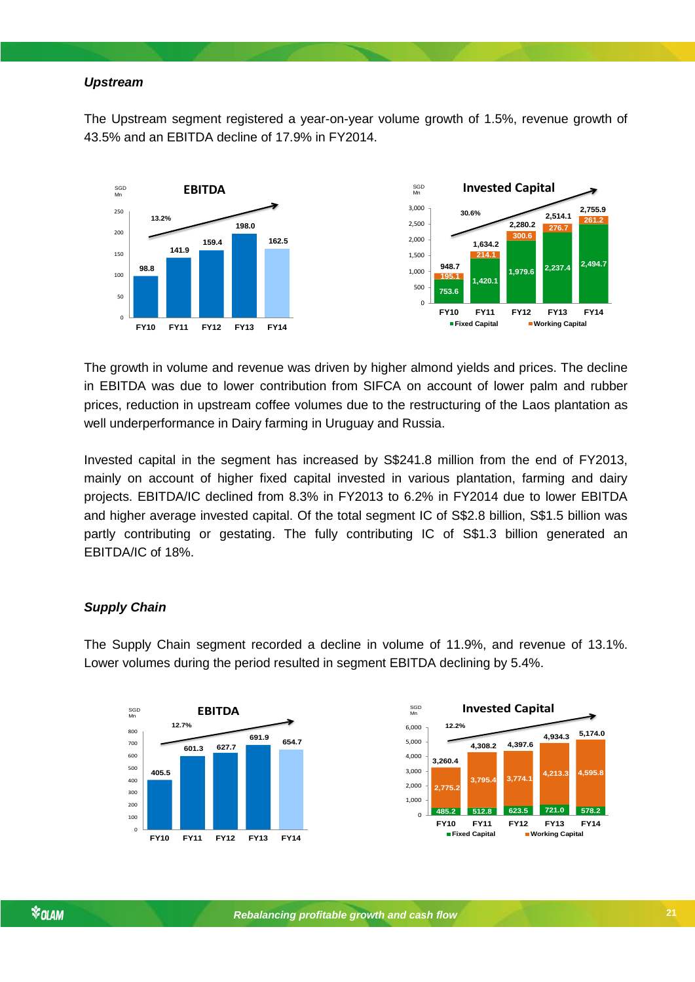#### *Upstream*

The Upstream segment registered a year-on-year volume growth of 1.5%, revenue growth of 43.5% and an EBITDA decline of 17.9% in FY2014.



The growth in volume and revenue was driven by higher almond yields and prices. The decline in EBITDA was due to lower contribution from SIFCA on account of lower palm and rubber prices, reduction in upstream coffee volumes due to the restructuring of the Laos plantation as well underperformance in Dairy farming in Uruguay and Russia.

Invested capital in the segment has increased by S\$241.8 million from the end of FY2013, mainly on account of higher fixed capital invested in various plantation, farming and dairy projects. EBITDA/IC declined from 8.3% in FY2013 to 6.2% in FY2014 due to lower EBITDA and higher average invested capital. Of the total segment IC of S\$2.8 billion, S\$1.5 billion was partly contributing or gestating. The fully contributing IC of S\$1.3 billion generated an EBITDA/IC of 18%.

#### *Supply Chain*

The Supply Chain segment recorded a decline in volume of 11.9%, and revenue of 13.1%. Lower volumes during the period resulted in segment EBITDA declining by 5.4%.



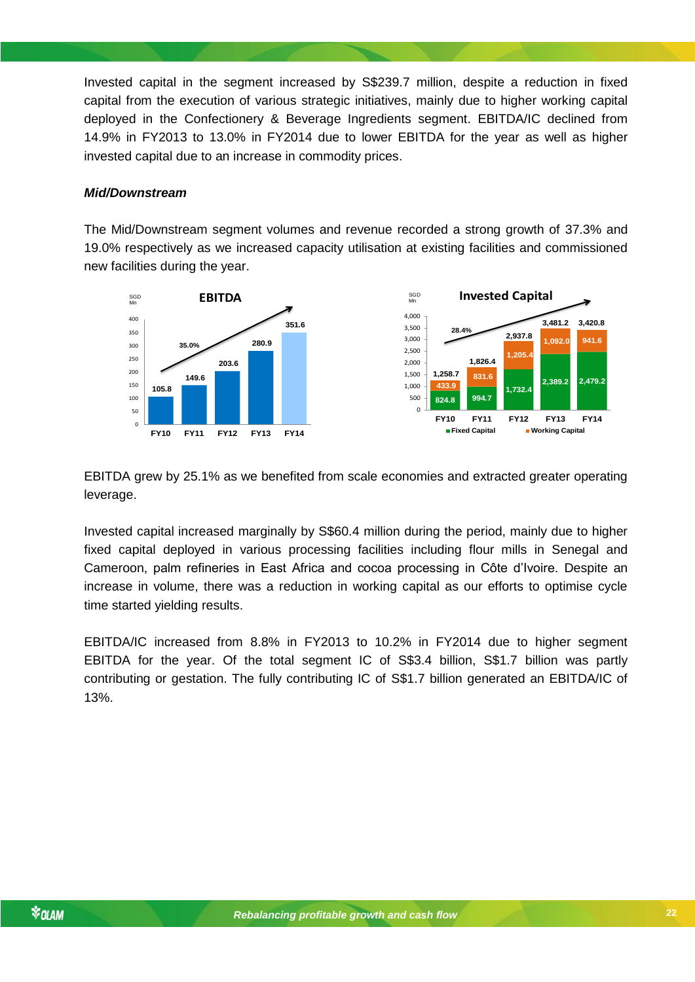Invested capital in the segment increased by S\$239.7 million, despite a reduction in fixed capital from the execution of various strategic initiatives, mainly due to higher working capital deployed in the Confectionery & Beverage Ingredients segment. EBITDA/IC declined from 14.9% in FY2013 to 13.0% in FY2014 due to lower EBITDA for the year as well as higher invested capital due to an increase in commodity prices.

#### *Mid/Downstream*

The Mid/Downstream segment volumes and revenue recorded a strong growth of 37.3% and 19.0% respectively as we increased capacity utilisation at existing facilities and commissioned new facilities during the year.



EBITDA grew by 25.1% as we benefited from scale economies and extracted greater operating leverage.

Invested capital increased marginally by S\$60.4 million during the period, mainly due to higher fixed capital deployed in various processing facilities including flour mills in Senegal and Cameroon, palm refineries in East Africa and cocoa processing in Côte d'Ivoire. Despite an increase in volume, there was a reduction in working capital as our efforts to optimise cycle time started yielding results.

EBITDA/IC increased from 8.8% in FY2013 to 10.2% in FY2014 due to higher segment EBITDA for the year. Of the total segment IC of S\$3.4 billion, S\$1.7 billion was partly contributing or gestation. The fully contributing IC of S\$1.7 billion generated an EBITDA/IC of 13%.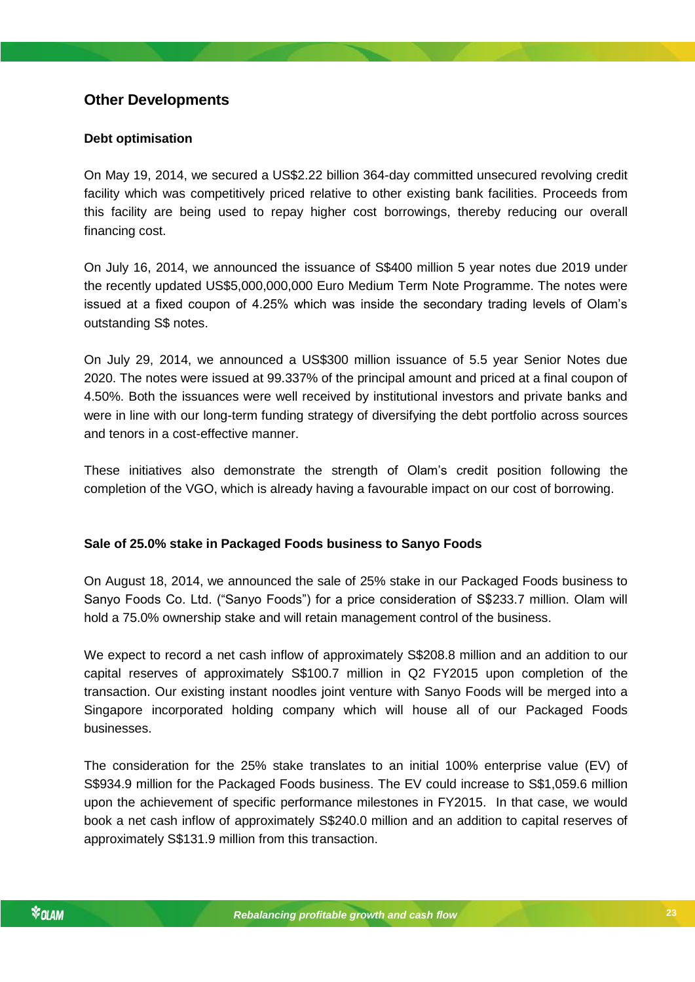### <span id="page-22-0"></span>**Other Developments**

### **Debt optimisation**

On May 19, 2014, we secured a US\$2.22 billion 364-day committed unsecured revolving credit facility which was competitively priced relative to other existing bank facilities. Proceeds from this facility are being used to repay higher cost borrowings, thereby reducing our overall financing cost.

On July 16, 2014, we announced the issuance of S\$400 million 5 year notes due 2019 under the recently updated US\$5,000,000,000 Euro Medium Term Note Programme. The notes were issued at a fixed coupon of 4.25% which was inside the secondary trading levels of Olam's outstanding S\$ notes.

On July 29, 2014, we announced a US\$300 million issuance of 5.5 year Senior Notes due 2020. The notes were issued at 99.337% of the principal amount and priced at a final coupon of 4.50%. Both the issuances were well received by institutional investors and private banks and were in line with our long-term funding strategy of diversifying the debt portfolio across sources and tenors in a cost-effective manner.

These initiatives also demonstrate the strength of Olam's credit position following the completion of the VGO, which is already having a favourable impact on our cost of borrowing.

### **Sale of 25.0% stake in Packaged Foods business to Sanyo Foods**

hold a 75.0% ownership stake and will retain management control of the business. On August 18, 2014, we announced the sale of 25% stake in our Packaged Foods business to Sanyo Foods Co. Ltd. ("Sanyo Foods") for a price consideration of S\$233.7 million. Olam will

We expect to record a net cash inflow of approximately S\$208.8 million and an addition to our capital reserves of approximately S\$100.7 million in Q2 FY2015 upon completion of the transaction. Our existing instant noodles joint venture with Sanyo Foods will be merged into a Singapore incorporated holding company which will house all of our Packaged Foods businesses.

The consideration for the 25% stake translates to an initial 100% enterprise value (EV) of S\$934.9 million for the Packaged Foods business. The EV could increase to S\$1,059.6 million upon the achievement of specific performance milestones in FY2015. In that case, we would book a net cash inflow of approximately S\$240.0 million and an addition to capital reserves of approximately S\$131.9 million from this transaction.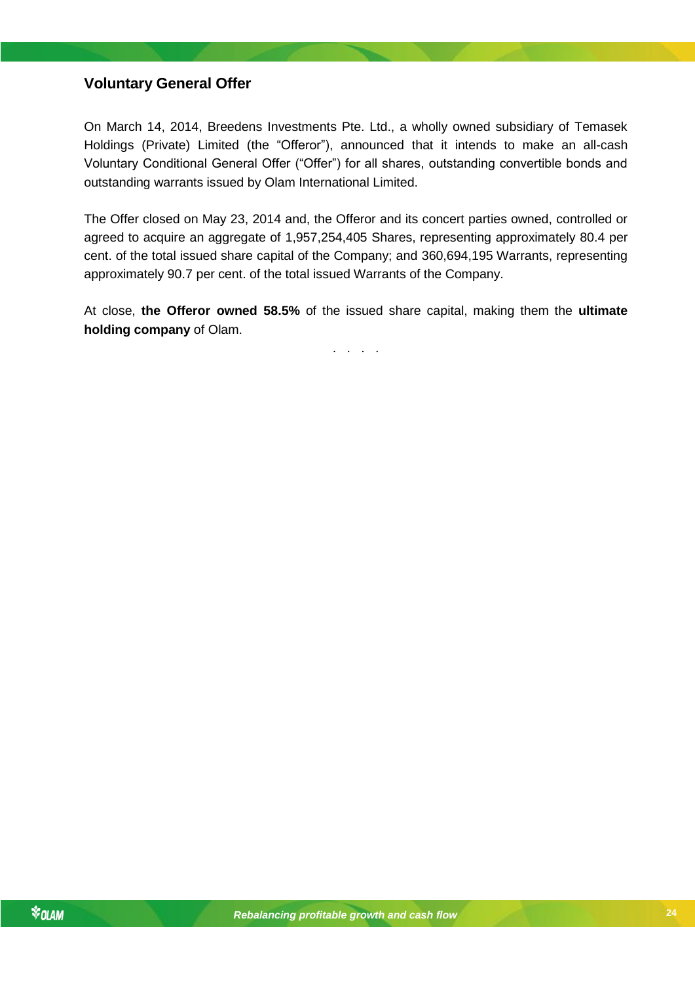### <span id="page-23-0"></span>**Voluntary General Offer**

On March 14, 2014, Breedens Investments Pte. Ltd., a wholly owned subsidiary of Temasek Holdings (Private) Limited (the "Offeror"), announced that it intends to make an all-cash Voluntary Conditional General Offer ("Offer") for all shares, outstanding convertible bonds and outstanding warrants issued by Olam International Limited.

The Offer closed on May 23, 2014 and, the Offeror and its concert parties owned, controlled or agreed to acquire an aggregate of 1,957,254,405 Shares, representing approximately 80.4 per cent. of the total issued share capital of the Company; and 360,694,195 Warrants, representing approximately 90.7 per cent. of the total issued Warrants of the Company.

At close, **the Offeror owned 58.5%** of the issued share capital, making them the **ultimate holding company** of Olam.

. . . .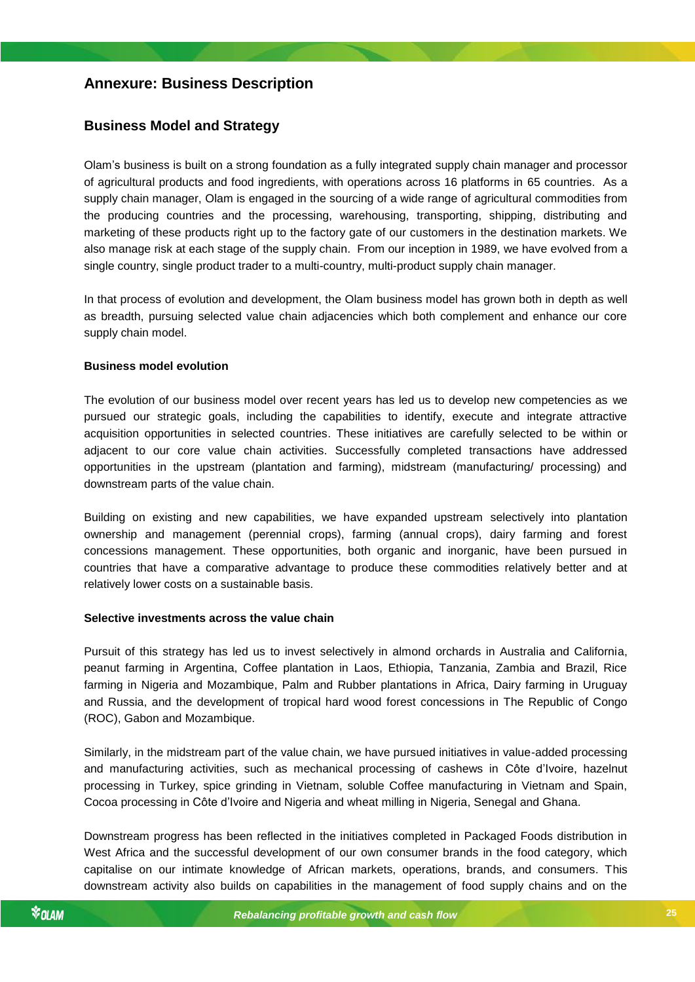### <span id="page-24-0"></span>**Annexure: Business Description**

### <span id="page-24-1"></span>**Business Model and Strategy**

Olam's business is built on a strong foundation as a fully integrated supply chain manager and processor of agricultural products and food ingredients, with operations across 16 platforms in 65 countries. As a supply chain manager, Olam is engaged in the sourcing of a wide range of agricultural commodities from the producing countries and the processing, warehousing, transporting, shipping, distributing and marketing of these products right up to the factory gate of our customers in the destination markets. We also manage risk at each stage of the supply chain. From our inception in 1989, we have evolved from a single country, single product trader to a multi-country, multi-product supply chain manager.

In that process of evolution and development, the Olam business model has grown both in depth as well as breadth, pursuing selected value chain adjacencies which both complement and enhance our core supply chain model.

#### **Business model evolution**

The evolution of our business model over recent years has led us to develop new competencies as we pursued our strategic goals, including the capabilities to identify, execute and integrate attractive acquisition opportunities in selected countries. These initiatives are carefully selected to be within or adjacent to our core value chain activities. Successfully completed transactions have addressed opportunities in the upstream (plantation and farming), midstream (manufacturing/ processing) and downstream parts of the value chain.

Building on existing and new capabilities, we have expanded upstream selectively into plantation ownership and management (perennial crops), farming (annual crops), dairy farming and forest concessions management. These opportunities, both organic and inorganic, have been pursued in countries that have a comparative advantage to produce these commodities relatively better and at relatively lower costs on a sustainable basis.

#### *Rebalancing profitable growth and cash flow* **Selective investments across the value chain**

Pursuit of this strategy has led us to invest selectively in almond orchards in Australia and California, peanut farming in Argentina, Coffee plantation in Laos, Ethiopia, Tanzania, Zambia and Brazil, Rice farming in Nigeria and Mozambique, Palm and Rubber plantations in Africa, Dairy farming in Uruguay and Russia, and the development of tropical hard wood forest concessions in The Republic of Congo (ROC), Gabon and Mozambique.

Similarly, in the midstream part of the value chain, we have pursued initiatives in value-added processing and manufacturing activities, such as mechanical processing of cashews in Côte d'Ivoire, hazelnut processing in Turkey, spice grinding in Vietnam, soluble Coffee manufacturing in Vietnam and Spain, Cocoa processing in Côte d'Ivoire and Nigeria and wheat milling in Nigeria, Senegal and Ghana.

Downstream progress has been reflected in the initiatives completed in Packaged Foods distribution in West Africa and the successful development of our own consumer brands in the food category, which capitalise on our intimate knowledge of African markets, operations, brands, and consumers. This downstream activity also builds on capabilities in the management of food supply chains and on the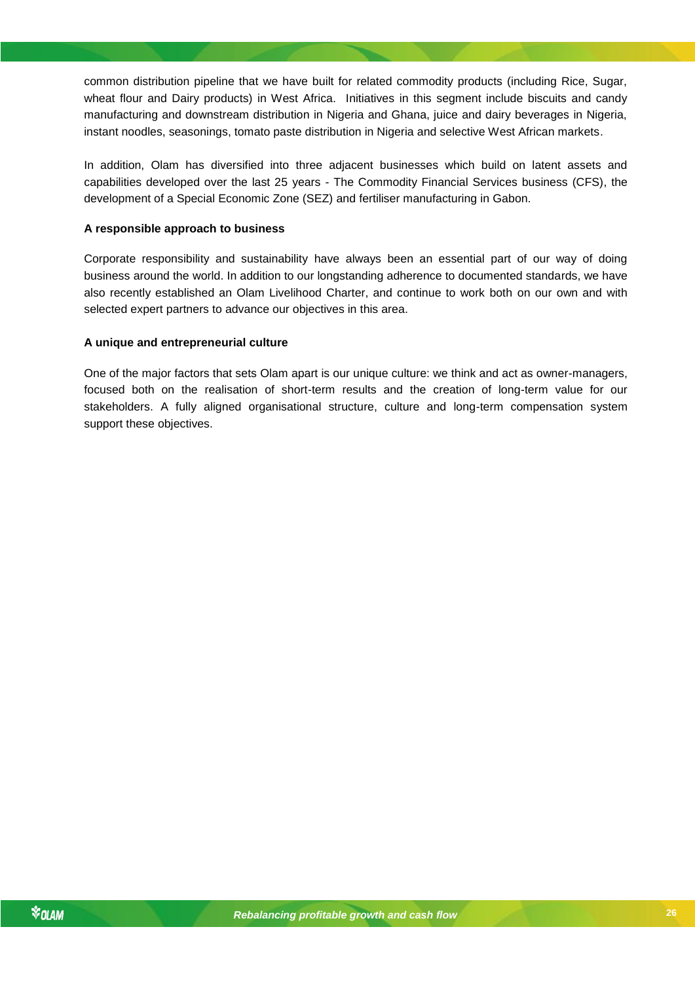common distribution pipeline that we have built for related commodity products (including Rice, Sugar, wheat flour and Dairy products) in West Africa. Initiatives in this segment include biscuits and candy manufacturing and downstream distribution in Nigeria and Ghana, juice and dairy beverages in Nigeria, instant noodles, seasonings, tomato paste distribution in Nigeria and selective West African markets.

In addition, Olam has diversified into three adjacent businesses which build on latent assets and capabilities developed over the last 25 years - The Commodity Financial Services business (CFS), the development of a Special Economic Zone (SEZ) and fertiliser manufacturing in Gabon.

#### **A responsible approach to business**

Corporate responsibility and sustainability have always been an essential part of our way of doing business around the world. In addition to our longstanding adherence to documented standards, we have also recently established an Olam Livelihood Charter, and continue to work both on our own and with selected expert partners to advance our objectives in this area.

#### **A unique and entrepreneurial culture**

One of the major factors that sets Olam apart is our unique culture: we think and act as owner-managers, focused both on the realisation of short-term results and the creation of long-term value for our stakeholders. A fully aligned organisational structure, culture and long-term compensation system support these objectives.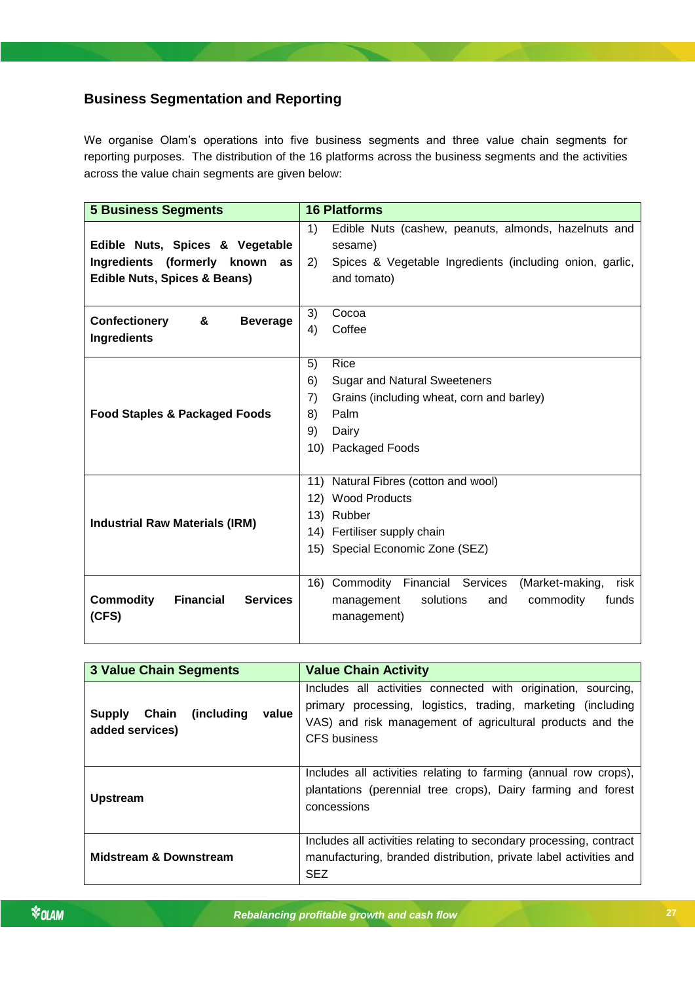### <span id="page-26-0"></span>**Business Segmentation and Reporting**

We organise Olam's operations into five business segments and three value chain segments for reporting purposes. The distribution of the 16 platforms across the business segments and the activities across the value chain segments are given below:

| <b>5 Business Segments</b>                              | <b>16 Platforms</b>                                            |
|---------------------------------------------------------|----------------------------------------------------------------|
|                                                         | 1)<br>Edible Nuts (cashew, peanuts, almonds, hazelnuts and     |
| Edible Nuts, Spices & Vegetable                         | sesame)                                                        |
| Ingredients (formerly known<br>as                       | 2)<br>Spices & Vegetable Ingredients (including onion, garlic, |
| <b>Edible Nuts, Spices &amp; Beans)</b>                 | and tomato)                                                    |
|                                                         |                                                                |
| <b>Confectionery</b><br>&<br><b>Beverage</b>            | 3)<br>Cocoa                                                    |
| Ingredients                                             | Coffee<br>4)                                                   |
|                                                         |                                                                |
|                                                         | 5)<br>Rice                                                     |
|                                                         | 6)<br><b>Sugar and Natural Sweeteners</b>                      |
|                                                         | 7)<br>Grains (including wheat, corn and barley)                |
| <b>Food Staples &amp; Packaged Foods</b>                | Palm<br>8)                                                     |
|                                                         | 9)<br>Dairy                                                    |
|                                                         | 10) Packaged Foods                                             |
|                                                         |                                                                |
|                                                         | 11) Natural Fibres (cotton and wool)                           |
|                                                         | 12) Wood Products                                              |
| <b>Industrial Raw Materials (IRM)</b>                   | 13) Rubber                                                     |
|                                                         | 14) Fertiliser supply chain                                    |
|                                                         | 15) Special Economic Zone (SEZ)                                |
|                                                         |                                                                |
|                                                         | 16) Commodity Financial Services<br>(Market-making,<br>risk    |
| <b>Commodity</b><br><b>Financial</b><br><b>Services</b> | solutions<br>and<br>commodity<br>funds<br>management           |
| (CFS)                                                   | management)                                                    |
|                                                         |                                                                |

| <b>3 Value Chain Segments</b>                              | <b>Value Chain Activity</b>                                                                                                                                                                                       |  |  |  |  |
|------------------------------------------------------------|-------------------------------------------------------------------------------------------------------------------------------------------------------------------------------------------------------------------|--|--|--|--|
| (including)<br>value<br>Chain<br>Supply<br>added services) | Includes all activities connected with origination, sourcing,<br>primary processing, logistics, trading, marketing (including<br>VAS) and risk management of agricultural products and the<br><b>CFS</b> business |  |  |  |  |
| <b>Upstream</b>                                            | Includes all activities relating to farming (annual row crops),<br>plantations (perennial tree crops), Dairy farming and forest<br>concessions                                                                    |  |  |  |  |
| <b>Midstream &amp; Downstream</b>                          | Includes all activities relating to secondary processing, contract<br>manufacturing, branded distribution, private label activities and<br><b>SEZ</b>                                                             |  |  |  |  |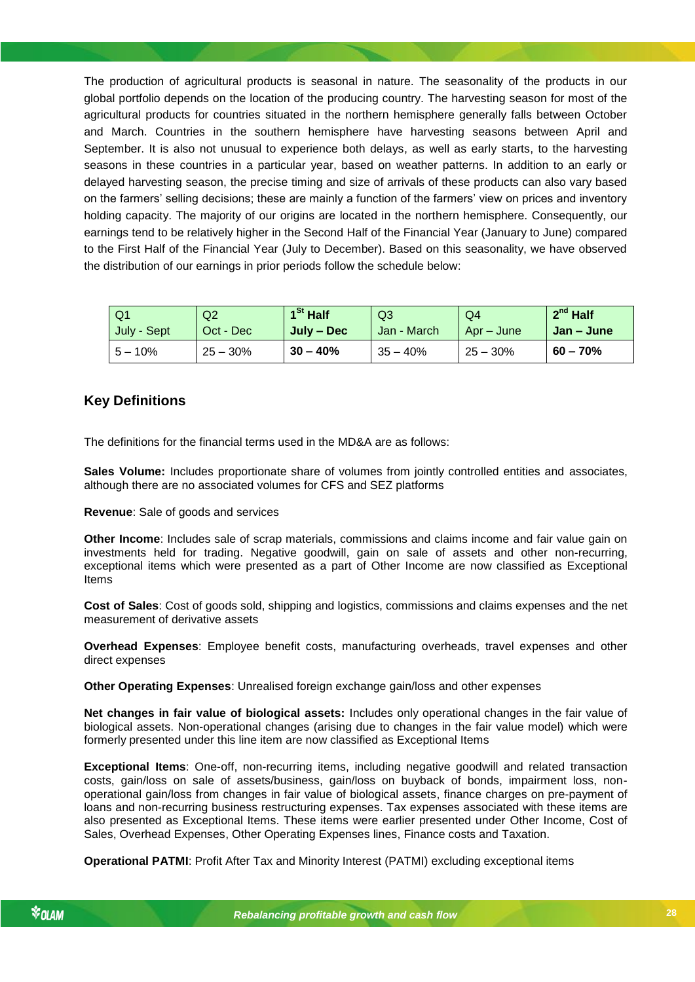The production of agricultural products is seasonal in nature. The seasonality of the products in our global portfolio depends on the location of the producing country. The harvesting season for most of the agricultural products for countries situated in the northern hemisphere generally falls between October and March. Countries in the southern hemisphere have harvesting seasons between April and September. It is also not unusual to experience both delays, as well as early starts, to the harvesting seasons in these countries in a particular year, based on weather patterns. In addition to an early or delayed harvesting season, the precise timing and size of arrivals of these products can also vary based on the farmers' selling decisions; these are mainly a function of the farmers' view on prices and inventory holding capacity. The majority of our origins are located in the northern hemisphere. Consequently, our earnings tend to be relatively higher in the Second Half of the Financial Year (January to June) compared to the First Half of the Financial Year (July to December). Based on this seasonality, we have observed the distribution of our earnings in prior periods follow the schedule below:

| Q1          | Q <sub>2</sub> | 1 <sup>St</sup> Half | Q3          | Q4         | $2^{nd}$ Half |
|-------------|----------------|----------------------|-------------|------------|---------------|
| July - Sept | Oct - Dec      | July – Dec           | Jan - March | Apr – June | Jan – June    |
| $5 - 10\%$  | $25 - 30%$     | $30 - 40%$           | $35 - 40%$  | $25 - 30%$ | $60 - 70%$    |

### <span id="page-27-0"></span>**Key Definitions**

The definitions for the financial terms used in the MD&A are as follows:

**Sales Volume:** Includes proportionate share of volumes from jointly controlled entities and associates, although there are no associated volumes for CFS and SEZ platforms

**Revenue**: Sale of goods and services

**Other Income**: Includes sale of scrap materials, commissions and claims income and fair value gain on investments held for trading. Negative goodwill, gain on sale of assets and other non-recurring, exceptional items which were presented as a part of Other Income are now classified as Exceptional Items

*Rebalancing profitable growth and cash flow* **Cost of Sales**: Cost of goods sold, shipping and logistics, commissions and claims expenses and the net measurement of derivative assets

**Overhead Expenses**: Employee benefit costs, manufacturing overheads, travel expenses and other direct expenses

**Other Operating Expenses**: Unrealised foreign exchange gain/loss and other expenses

**Net changes in fair value of biological assets:** Includes only operational changes in the fair value of biological assets. Non-operational changes (arising due to changes in the fair value model) which were formerly presented under this line item are now classified as Exceptional Items

**Exceptional Items**: One-off, non-recurring items, including negative goodwill and related transaction costs, gain/loss on sale of assets/business, gain/loss on buyback of bonds, impairment loss, nonoperational gain/loss from changes in fair value of biological assets, finance charges on pre-payment of loans and non-recurring business restructuring expenses. Tax expenses associated with these items are also presented as Exceptional Items. These items were earlier presented under Other Income, Cost of Sales, Overhead Expenses, Other Operating Expenses lines, Finance costs and Taxation.

**Operational PATMI**: Profit After Tax and Minority Interest (PATMI) excluding exceptional items